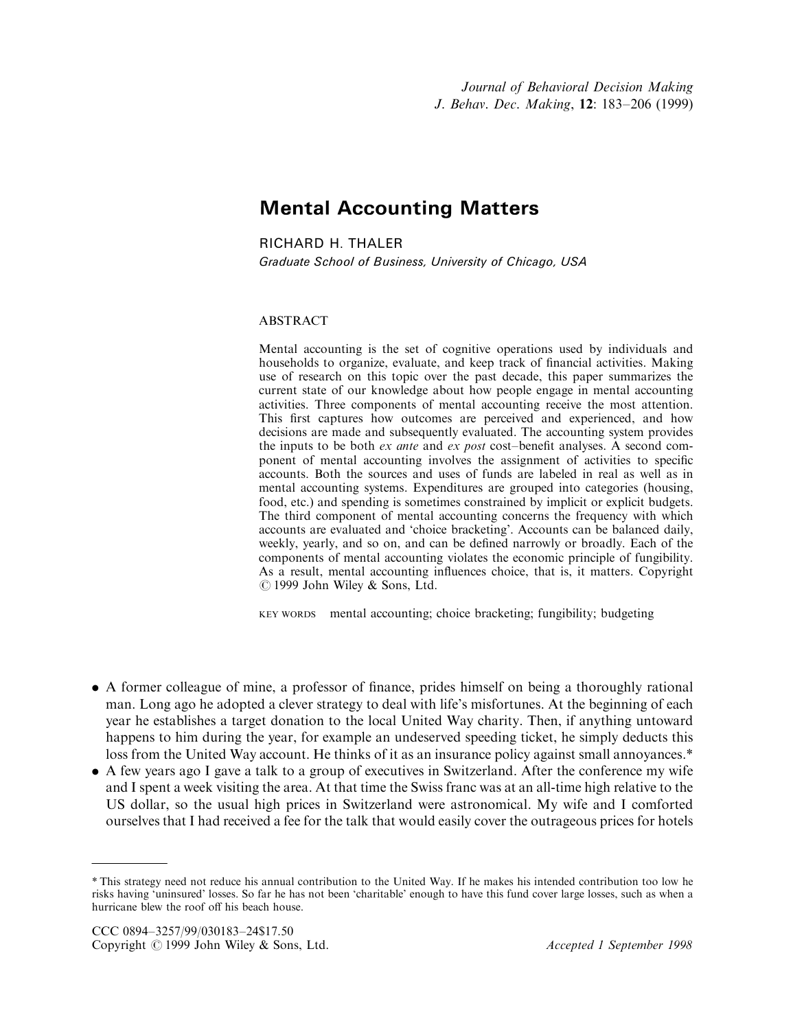# Mental Accounting Matters

RICHARD H. THALER

Graduate School of Business, University of Chicago, USA

# ABSTRACT

Mental accounting is the set of cognitive operations used by individuals and households to organize, evaluate, and keep track of financial activities. Making use of research on this topic over the past decade, this paper summarizes the current state of our knowledge about how people engage in mental accounting activities. Three components of mental accounting receive the most attention. This first captures how outcomes are perceived and experienced, and how decisions are made and subsequently evaluated. The accounting system provides the inputs to be both *ex ante* and *ex post* cost-benefit analyses. A second component of mental accounting involves the assignment of activities to specific accounts. Both the sources and uses of funds are labeled in real as well as in mental accounting systems. Expenditures are grouped into categories (housing, food, etc.) and spending is sometimes constrained by implicit or explicit budgets. The third component of mental accounting concerns the frequency with which accounts are evaluated and `choice bracketing'. Accounts can be balanced daily, weekly, yearly, and so on, and can be defined narrowly or broadly. Each of the components of mental accounting violates the economic principle of fungibility. As a result, mental accounting influences choice, that is, it matters. Copyright  $© 1999$  John Wiley & Sons, Ltd.

KEY WORDS mental accounting; choice bracketing; fungibility; budgeting

- $\bullet$  A former colleague of mine, a professor of finance, prides himself on being a thoroughly rational man. Long ago he adopted a clever strategy to deal with life's misfortunes. At the beginning of each year he establishes a target donation to the local United Way charity. Then, if anything untoward happens to him during the year, for example an undeserved speeding ticket, he simply deducts this loss from the United Way account. He thinks of it as an insurance policy against small annoyances.\*
- . A few years ago I gave a talk to a group of executives in Switzerland. After the conference my wife and I spent a week visiting the area. At that time the Swiss franc was at an all-time high relative to the US dollar, so the usual high prices in Switzerland were astronomical. My wife and I comforted ourselves that I had received a fee for the talk that would easily cover the outrageous prices for hotels

<sup>\*</sup> This strategy need not reduce his annual contribution to the United Way. If he makes his intended contribution too low he risks having `uninsured' losses. So far he has not been `charitable' enough to have this fund cover large losses, such as when a hurricane blew the roof off his beach house.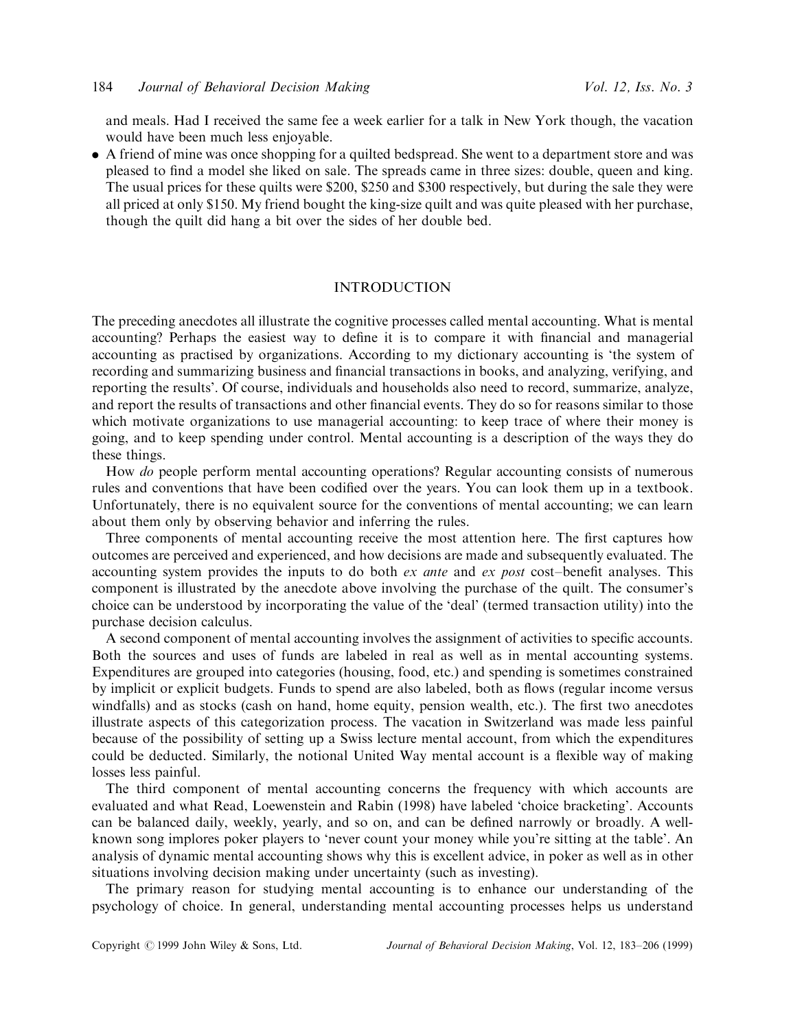and meals. Had I received the same fee a week earlier for a talk in New York though, the vacation would have been much less enjoyable.

. A friend of mine was once shopping for a quilted bedspread. She went to a department store and was pleased to find a model she liked on sale. The spreads came in three sizes: double, queen and king. The usual prices for these quilts were \$200, \$250 and \$300 respectively, but during the sale they were all priced at only \$150. My friend bought the king-size quilt and was quite pleased with her purchase, though the quilt did hang a bit over the sides of her double bed.

### INTRODUCTION

The preceding anecdotes all illustrate the cognitive processes called mental accounting. What is mental accounting? Perhaps the easiest way to define it is to compare it with financial and managerial accounting as practised by organizations. According to my dictionary accounting is 'the system of recording and summarizing business and financial transactions in books, and analyzing, verifying, and reporting the results'. Of course, individuals and households also need to record, summarize, analyze, and report the results of transactions and other financial events. They do so for reasons similar to those which motivate organizations to use managerial accounting: to keep trace of where their money is going, and to keep spending under control. Mental accounting is a description of the ways they do these things.

How do people perform mental accounting operations? Regular accounting consists of numerous rules and conventions that have been codified over the years. You can look them up in a textbook. Unfortunately, there is no equivalent source for the conventions of mental accounting; we can learn about them only by observing behavior and inferring the rules.

Three components of mental accounting receive the most attention here. The first captures how outcomes are perceived and experienced, and how decisions are made and subsequently evaluated. The accounting system provides the inputs to do both  $ex$  ante and  $ex$  post cost-benefit analyses. This component is illustrated by the anecdote above involving the purchase of the quilt. The consumer's choice can be understood by incorporating the value of the `deal' (termed transaction utility) into the purchase decision calculus.

A second component of mental accounting involves the assignment of activities to specific accounts. Both the sources and uses of funds are labeled in real as well as in mental accounting systems. Expenditures are grouped into categories (housing, food, etc.) and spending is sometimes constrained by implicit or explicit budgets. Funds to spend are also labeled, both as flows (regular income versus windfalls) and as stocks (cash on hand, home equity, pension wealth, etc.). The first two anecdotes illustrate aspects of this categorization process. The vacation in Switzerland was made less painful because of the possibility of setting up a Swiss lecture mental account, from which the expenditures could be deducted. Similarly, the notional United Way mental account is a flexible way of making losses less painful.

The third component of mental accounting concerns the frequency with which accounts are evaluated and what Read, Loewenstein and Rabin (1998) have labeled `choice bracketing'. Accounts can be balanced daily, weekly, yearly, and so on, and can be defined narrowly or broadly. A wellknown song implores poker players to 'never count your money while you're sitting at the table'. An analysis of dynamic mental accounting shows why this is excellent advice, in poker as well as in other situations involving decision making under uncertainty (such as investing).

The primary reason for studying mental accounting is to enhance our understanding of the psychology of choice. In general, understanding mental accounting processes helps us understand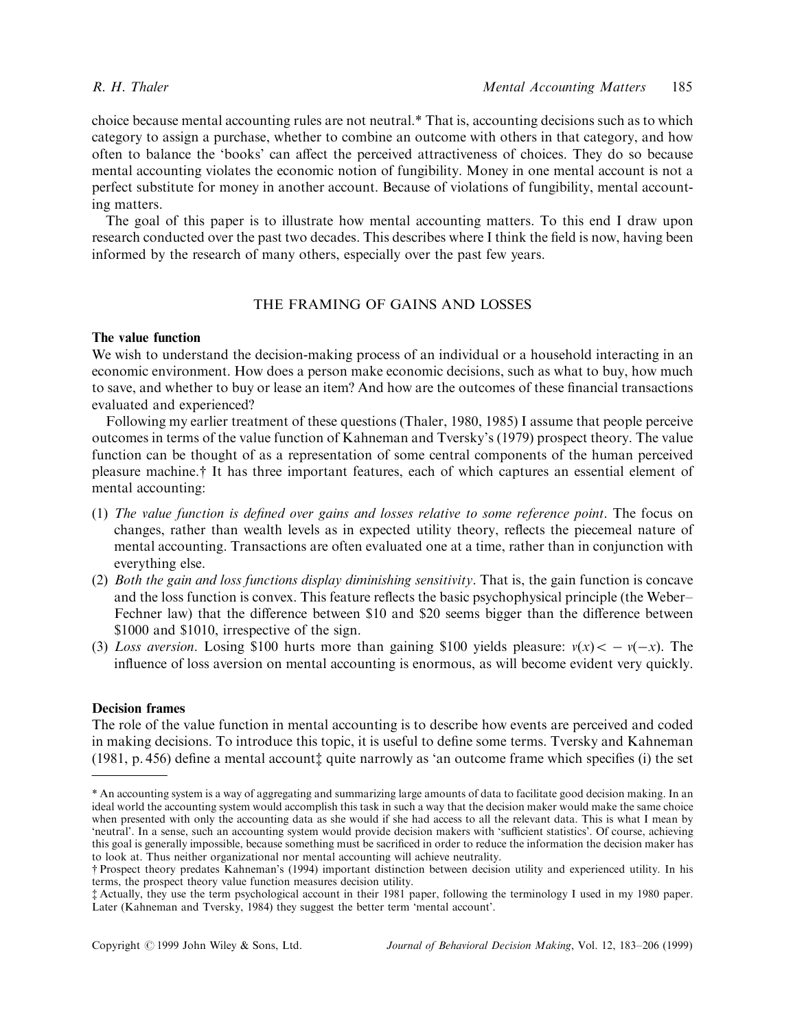choice because mental accounting rules are not neutral.\* That is, accounting decisions such as to which category to assign a purchase, whether to combine an outcome with others in that category, and how often to balance the 'books' can affect the perceived attractiveness of choices. They do so because mental accounting violates the economic notion of fungibility. Money in one mental account is not a perfect substitute for money in another account. Because of violations of fungibility, mental accounting matters.

The goal of this paper is to illustrate how mental accounting matters. To this end I draw upon research conducted over the past two decades. This describes where I think the field is now, having been informed by the research of many others, especially over the past few years.

# THE FRAMING OF GAINS AND LOSSES

### The value function

We wish to understand the decision-making process of an individual or a household interacting in an economic environment. How does a person make economic decisions, such as what to buy, how much to save, and whether to buy or lease an item? And how are the outcomes of these financial transactions evaluated and experienced?

Following my earlier treatment of these questions (Thaler, 1980, 1985) I assume that people perceive outcomes in terms of the value function of Kahneman and Tversky's (1979) prospect theory. The value function can be thought of as a representation of some central components of the human perceived pleasure machine.<sup>†</sup> It has three important features, each of which captures an essential element of mental accounting:

- (1) The value function is defined over gains and losses relative to some reference point. The focus on changes, rather than wealth levels as in expected utility theory, reflects the piecemeal nature of mental accounting. Transactions are often evaluated one at a time, rather than in conjunction with everything else.
- (2) Both the gain and loss functions display diminishing sensitivity. That is, the gain function is concave and the loss function is convex. This feature reflects the basic psychophysical principle (the Weber-Fechner law) that the difference between \$10 and \$20 seems bigger than the difference between \$1000 and \$1010, irrespective of the sign.
- (3) Loss aversion. Losing \$100 hurts more than gaining \$100 yields pleasure:  $v(x) < -v(-x)$ . The influence of loss aversion on mental accounting is enormous, as will become evident very quickly.

### Decision frames

The role of the value function in mental accounting is to describe how events are perceived and coded in making decisions. To introduce this topic, it is useful to define some terms. Tversky and Kahneman  $(1981, p. 456)$  define a mental account $\ddagger$  quite narrowly as 'an outcome frame which specifies (i) the set

<sup>\*</sup> An accounting system is a way of aggregating and summarizing large amounts of data to facilitate good decision making. In an ideal world the accounting system would accomplish this task in such a way that the decision maker would make the same choice when presented with only the accounting data as she would if she had access to all the relevant data. This is what I mean by `neutral'. In a sense, such an accounting system would provide decision makers with `sucient statistics'. Of course, achieving this goal is generally impossible, because something must be sacrificed in order to reduce the information the decision maker has to look at. Thus neither organizational nor mental accounting will achieve neutrality.

<sup>{</sup> Prospect theory predates Kahneman's (1994) important distinction between decision utility and experienced utility. In his terms, the prospect theory value function measures decision utility.

<sup>{</sup> Actually, they use the term psychological account in their 1981 paper, following the terminology I used in my 1980 paper. Later (Kahneman and Tversky, 1984) they suggest the better term 'mental account'.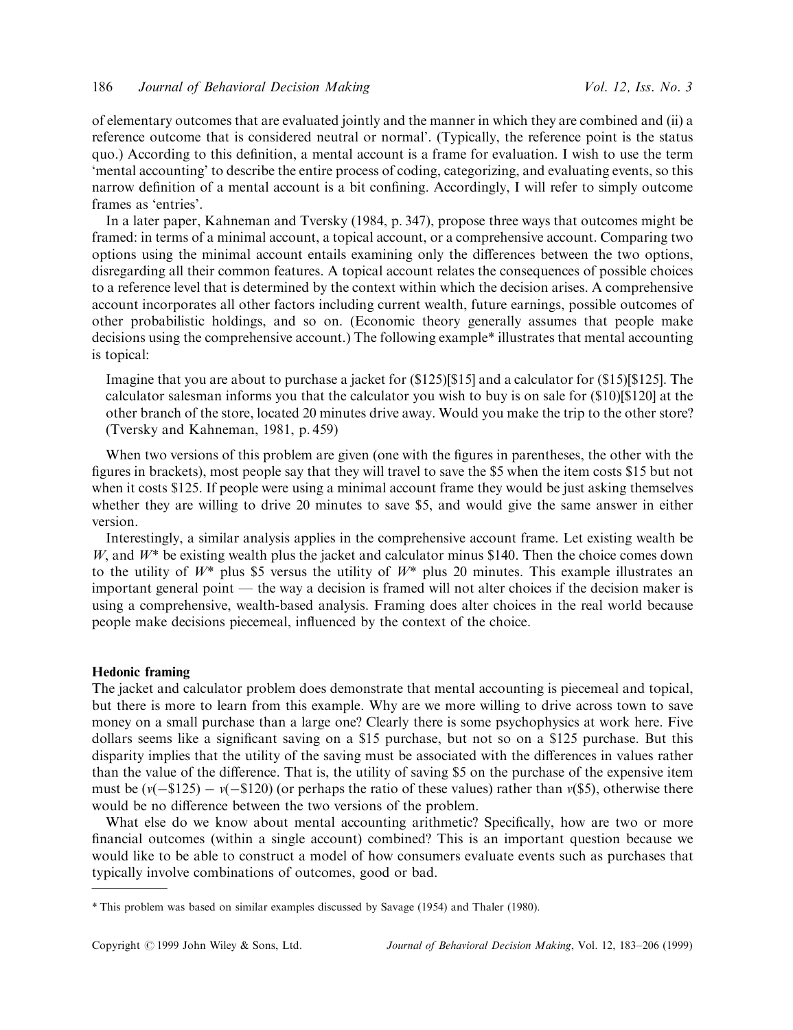of elementary outcomes that are evaluated jointly and the manner in which they are combined and (ii) a reference outcome that is considered neutral or normal'. (Typically, the reference point is the status quo.) According to this definition, a mental account is a frame for evaluation. I wish to use the term `mental accounting' to describe the entire process of coding, categorizing, and evaluating events, so this narrow definition of a mental account is a bit confining. Accordingly, I will refer to simply outcome frames as `entries'.

In a later paper, Kahneman and Tversky (1984, p. 347), propose three ways that outcomes might be framed: in terms of a minimal account, a topical account, or a comprehensive account. Comparing two options using the minimal account entails examining only the differences between the two options, disregarding all their common features. A topical account relates the consequences of possible choices to a reference level that is determined by the context within which the decision arises. A comprehensive account incorporates all other factors including current wealth, future earnings, possible outcomes of other probabilistic holdings, and so on. (Economic theory generally assumes that people make decisions using the comprehensive account.) The following example\* illustrates that mental accounting is topical:

Imagine that you are about to purchase a jacket for (\$125)[\$15] and a calculator for (\$15)[\$125]. The calculator salesman informs you that the calculator you wish to buy is on sale for (\$10)[\$120] at the other branch of the store, located 20 minutes drive away. Would you make the trip to the other store? (Tversky and Kahneman, 1981, p. 459)

When two versions of this problem are given (one with the figures in parentheses, the other with the figures in brackets), most people say that they will travel to save the \$5 when the item costs \$15 but not when it costs \$125. If people were using a minimal account frame they would be just asking themselves whether they are willing to drive 20 minutes to save \$5, and would give the same answer in either version.

Interestingly, a similar analysis applies in the comprehensive account frame. Let existing wealth be  $W$ , and  $W^*$  be existing wealth plus the jacket and calculator minus \$140. Then the choice comes down to the utility of  $W^*$  plus \$5 versus the utility of  $W^*$  plus 20 minutes. This example illustrates an important general point  $-$  the way a decision is framed will not alter choices if the decision maker is using a comprehensive, wealth-based analysis. Framing does alter choices in the real world because people make decisions piecemeal, influenced by the context of the choice.

### Hedonic framing

The jacket and calculator problem does demonstrate that mental accounting is piecemeal and topical, but there is more to learn from this example. Why are we more willing to drive across town to save money on a small purchase than a large one? Clearly there is some psychophysics at work here. Five dollars seems like a significant saving on a \$15 purchase, but not so on a \$125 purchase. But this disparity implies that the utility of the saving must be associated with the differences in values rather than the value of the difference. That is, the utility of saving \$5 on the purchase of the expensive item must be  $(v(-\$125) - v(-\$120)$  (or perhaps the ratio of these values) rather than v(\$5), otherwise there would be no difference between the two versions of the problem.

What else do we know about mental accounting arithmetic? Specifically, how are two or more financial outcomes (within a single account) combined? This is an important question because we would like to be able to construct a model of how consumers evaluate events such as purchases that typically involve combinations of outcomes, good or bad.

<sup>\*</sup> This problem was based on similar examples discussed by Savage (1954) and Thaler (1980).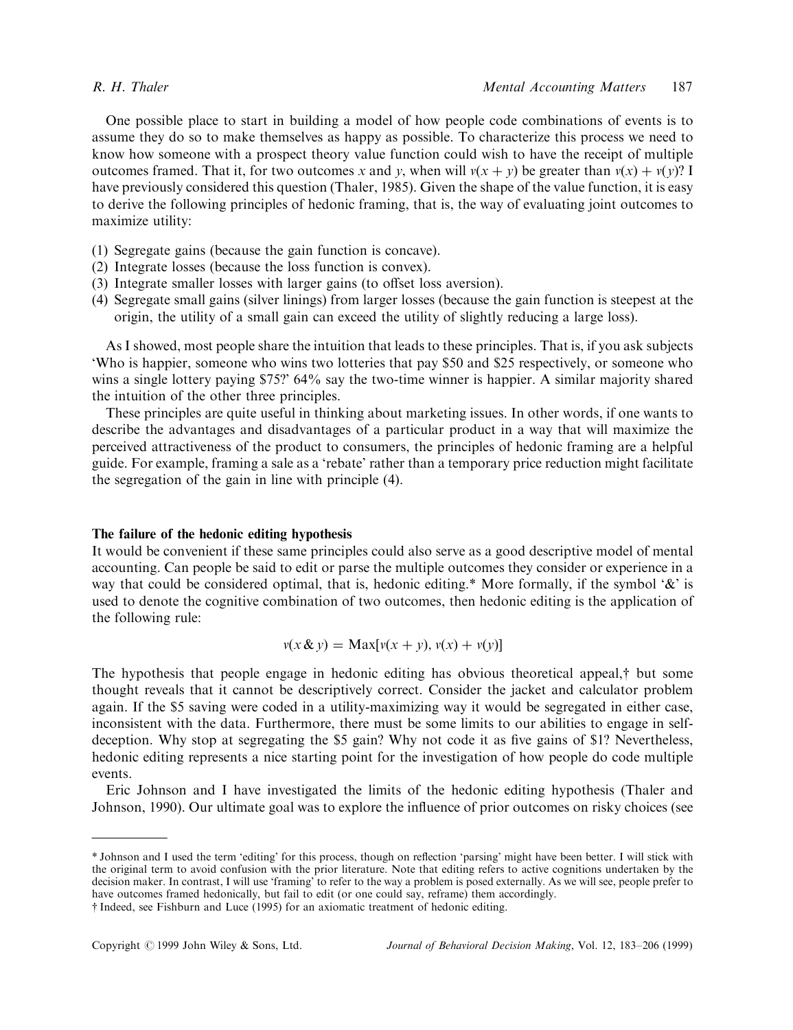One possible place to start in building a model of how people code combinations of events is to assume they do so to make themselves as happy as possible. To characterize this process we need to know how someone with a prospect theory value function could wish to have the receipt of multiple outcomes framed. That it, for two outcomes x and y, when will  $v(x + y)$  be greater than  $v(x) + v(y)$ ? I have previously considered this question (Thaler, 1985). Given the shape of the value function, it is easy to derive the following principles of hedonic framing, that is, the way of evaluating joint outcomes to maximize utility:

- (1) Segregate gains (because the gain function is concave).
- (2) Integrate losses (because the loss function is convex).
- (3) Integrate smaller losses with larger gains (to offset loss aversion).
- (4) Segregate small gains (silver linings) from larger losses (because the gain function is steepest at the origin, the utility of a small gain can exceed the utility of slightly reducing a large loss).

As I showed, most people share the intuition that leads to these principles. That is, if you ask subjects `Who is happier, someone who wins two lotteries that pay \$50 and \$25 respectively, or someone who wins a single lottery paying \$75?' 64% say the two-time winner is happier. A similar majority shared the intuition of the other three principles.

These principles are quite useful in thinking about marketing issues. In other words, if one wants to describe the advantages and disadvantages of a particular product in a way that will maximize the perceived attractiveness of the product to consumers, the principles of hedonic framing are a helpful guide. For example, framing a sale as a `rebate' rather than a temporary price reduction might facilitate the segregation of the gain in line with principle (4).

### The failure of the hedonic editing hypothesis

It would be convenient if these same principles could also serve as a good descriptive model of mental accounting. Can people be said to edit or parse the multiple outcomes they consider or experience in a way that could be considered optimal, that is, hedonic editing.\* More formally, if the symbol  $\&$  is used to denote the cognitive combination of two outcomes, then hedonic editing is the application of the following rule:

$$
v(x \& y) = \text{Max}[v(x + y), v(x) + v(y)]
$$

The hypothesis that people engage in hedonic editing has obvious theoretical appeal,{ but some thought reveals that it cannot be descriptively correct. Consider the jacket and calculator problem again. If the \$5 saving were coded in a utility-maximizing way it would be segregated in either case, inconsistent with the data. Furthermore, there must be some limits to our abilities to engage in selfdeception. Why stop at segregating the \$5 gain? Why not code it as five gains of \$1? Nevertheless, hedonic editing represents a nice starting point for the investigation of how people do code multiple events.

Eric Johnson and I have investigated the limits of the hedonic editing hypothesis (Thaler and Johnson, 1990). Our ultimate goal was to explore the influence of prior outcomes on risky choices (see

<sup>\*</sup> Johnson and I used the term 'editing' for this process, though on reflection 'parsing' might have been better. I will stick with the original term to avoid confusion with the prior literature. Note that editing refers to active cognitions undertaken by the decision maker. In contrast, I will use 'framing' to refer to the way a problem is posed externally. As we will see, people prefer to have outcomes framed hedonically, but fail to edit (or one could say, reframe) them accordingly. { Indeed, see Fishburn and Luce (1995) for an axiomatic treatment of hedonic editing.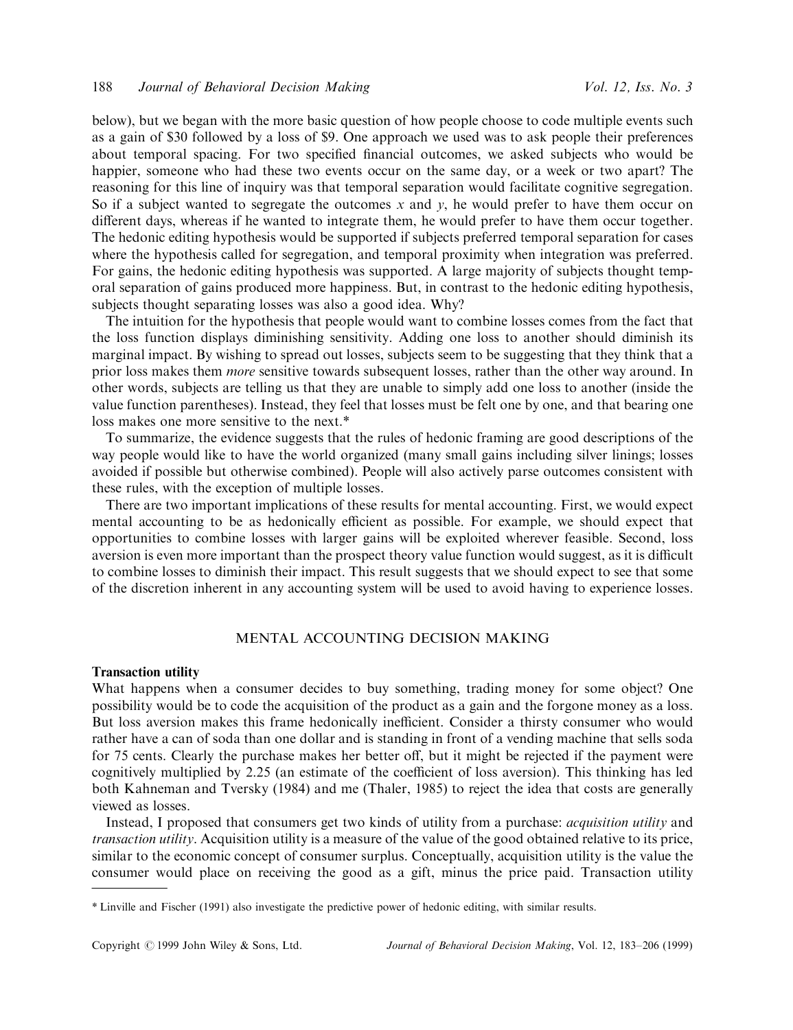below), but we began with the more basic question of how people choose to code multiple events such as a gain of \$30 followed by a loss of \$9. One approach we used was to ask people their preferences about temporal spacing. For two specified financial outcomes, we asked subjects who would be happier, someone who had these two events occur on the same day, or a week or two apart? The reasoning for this line of inquiry was that temporal separation would facilitate cognitive segregation. So if a subject wanted to segregate the outcomes x and y, he would prefer to have them occur on different days, whereas if he wanted to integrate them, he would prefer to have them occur together. The hedonic editing hypothesis would be supported if subjects preferred temporal separation for cases where the hypothesis called for segregation, and temporal proximity when integration was preferred. For gains, the hedonic editing hypothesis was supported. A large majority of subjects thought temporal separation of gains produced more happiness. But, in contrast to the hedonic editing hypothesis, subjects thought separating losses was also a good idea. Why?

The intuition for the hypothesis that people would want to combine losses comes from the fact that the loss function displays diminishing sensitivity. Adding one loss to another should diminish its marginal impact. By wishing to spread out losses, subjects seem to be suggesting that they think that a prior loss makes them *more* sensitive towards subsequent losses, rather than the other way around. In other words, subjects are telling us that they are unable to simply add one loss to another (inside the value function parentheses). Instead, they feel that losses must be felt one by one, and that bearing one loss makes one more sensitive to the next.\*

To summarize, the evidence suggests that the rules of hedonic framing are good descriptions of the way people would like to have the world organized (many small gains including silver linings; losses avoided if possible but otherwise combined). People will also actively parse outcomes consistent with these rules, with the exception of multiple losses.

There are two important implications of these results for mental accounting. First, we would expect mental accounting to be as hedonically efficient as possible. For example, we should expect that opportunities to combine losses with larger gains will be exploited wherever feasible. Second, loss aversion is even more important than the prospect theory value function would suggest, as it is difficult to combine losses to diminish their impact. This result suggests that we should expect to see that some of the discretion inherent in any accounting system will be used to avoid having to experience losses.

### MENTAL ACCOUNTING DECISION MAKING

### Transaction utility

What happens when a consumer decides to buy something, trading money for some object? One possibility would be to code the acquisition of the product as a gain and the forgone money as a loss. But loss aversion makes this frame hedonically inefficient. Consider a thirsty consumer who would rather have a can of soda than one dollar and is standing in front of a vending machine that sells soda for 75 cents. Clearly the purchase makes her better off, but it might be rejected if the payment were cognitively multiplied by 2.25 (an estimate of the coefficient of loss aversion). This thinking has led both Kahneman and Tversky (1984) and me (Thaler, 1985) to reject the idea that costs are generally viewed as losses.

Instead, I proposed that consumers get two kinds of utility from a purchase: acquisition utility and transaction utility. Acquisition utility is a measure of the value of the good obtained relative to its price, similar to the economic concept of consumer surplus. Conceptually, acquisition utility is the value the consumer would place on receiving the good as a gift, minus the price paid. Transaction utility

<sup>\*</sup> Linville and Fischer (1991) also investigate the predictive power of hedonic editing, with similar results.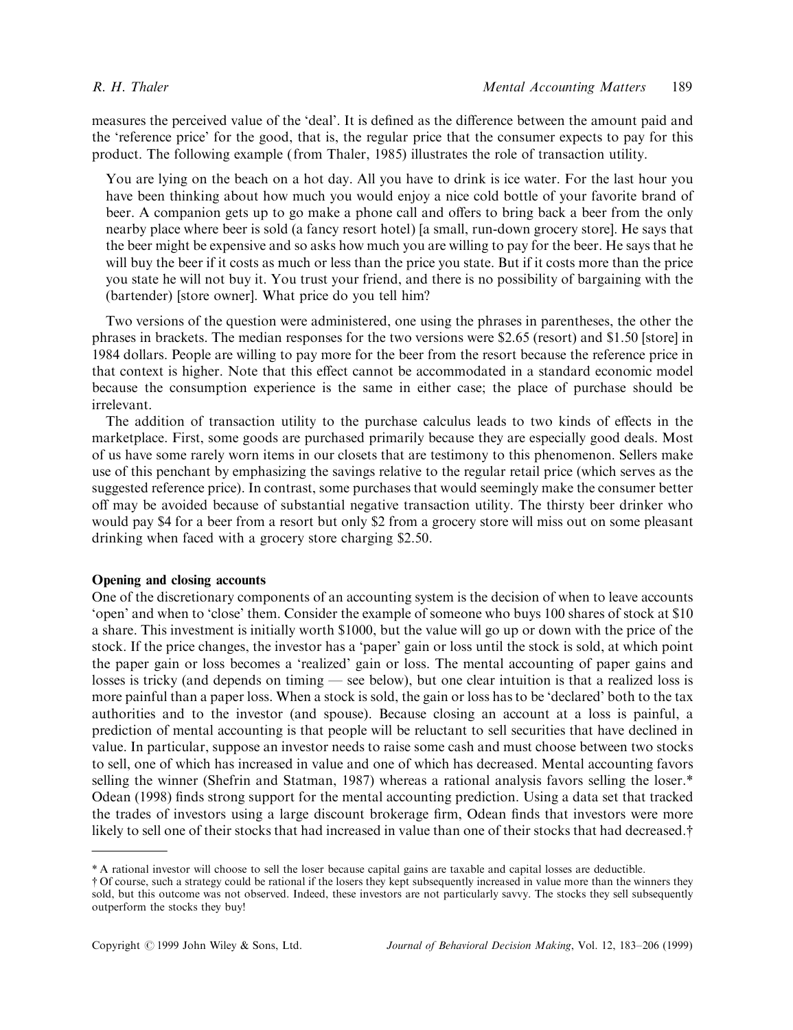measures the perceived value of the 'deal'. It is defined as the difference between the amount paid and the 'reference price' for the good, that is, the regular price that the consumer expects to pay for this product. The following example ( from Thaler, 1985) illustrates the role of transaction utility.

You are lying on the beach on a hot day. All you have to drink is ice water. For the last hour you have been thinking about how much you would enjoy a nice cold bottle of your favorite brand of beer. A companion gets up to go make a phone call and offers to bring back a beer from the only nearby place where beer is sold (a fancy resort hotel) [a small, run-down grocery store]. He says that the beer might be expensive and so asks how much you are willing to pay for the beer. He says that he will buy the beer if it costs as much or less than the price you state. But if it costs more than the price you state he will not buy it. You trust your friend, and there is no possibility of bargaining with the (bartender) [store owner]. What price do you tell him?

Two versions of the question were administered, one using the phrases in parentheses, the other the phrases in brackets. The median responses for the two versions were \$2.65 (resort) and \$1.50 [store] in 1984 dollars. People are willing to pay more for the beer from the resort because the reference price in that context is higher. Note that this effect cannot be accommodated in a standard economic model because the consumption experience is the same in either case; the place of purchase should be irrelevant.

The addition of transaction utility to the purchase calculus leads to two kinds of effects in the marketplace. First, some goods are purchased primarily because they are especially good deals. Most of us have some rarely worn items in our closets that are testimony to this phenomenon. Sellers make use of this penchant by emphasizing the savings relative to the regular retail price (which serves as the suggested reference price). In contrast, some purchases that would seemingly make the consumer better off may be avoided because of substantial negative transaction utility. The thirsty beer drinker who would pay \$4 for a beer from a resort but only \$2 from a grocery store will miss out on some pleasant drinking when faced with a grocery store charging \$2.50.

### Opening and closing accounts

One of the discretionary components of an accounting system is the decision of when to leave accounts `open' and when to `close' them. Consider the example of someone who buys 100 shares of stock at \$10 a share. This investment is initially worth \$1000, but the value will go up or down with the price of the stock. If the price changes, the investor has a 'paper' gain or loss until the stock is sold, at which point the paper gain or loss becomes a `realized' gain or loss. The mental accounting of paper gains and losses is tricky (and depends on timing — see below), but one clear intuition is that a realized loss is more painful than a paper loss. When a stock is sold, the gain or loss has to be `declared' both to the tax authorities and to the investor (and spouse). Because closing an account at a loss is painful, a prediction of mental accounting is that people will be reluctant to sell securities that have declined in value. In particular, suppose an investor needs to raise some cash and must choose between two stocks to sell, one of which has increased in value and one of which has decreased. Mental accounting favors selling the winner (Shefrin and Statman, 1987) whereas a rational analysis favors selling the loser.\* Odean (1998) finds strong support for the mental accounting prediction. Using a data set that tracked the trades of investors using a large discount brokerage firm, Odean finds that investors were more likely to sell one of their stocks that had increased in value than one of their stocks that had decreased.<sup>†</sup>

<sup>\*</sup> A rational investor will choose to sell the loser because capital gains are taxable and capital losses are deductible.

<sup>{</sup> Of course, such a strategy could be rational if the losers they kept subsequently increased in value more than the winners they sold, but this outcome was not observed. Indeed, these investors are not particularly savvy. The stocks they sell subsequently outperform the stocks they buy!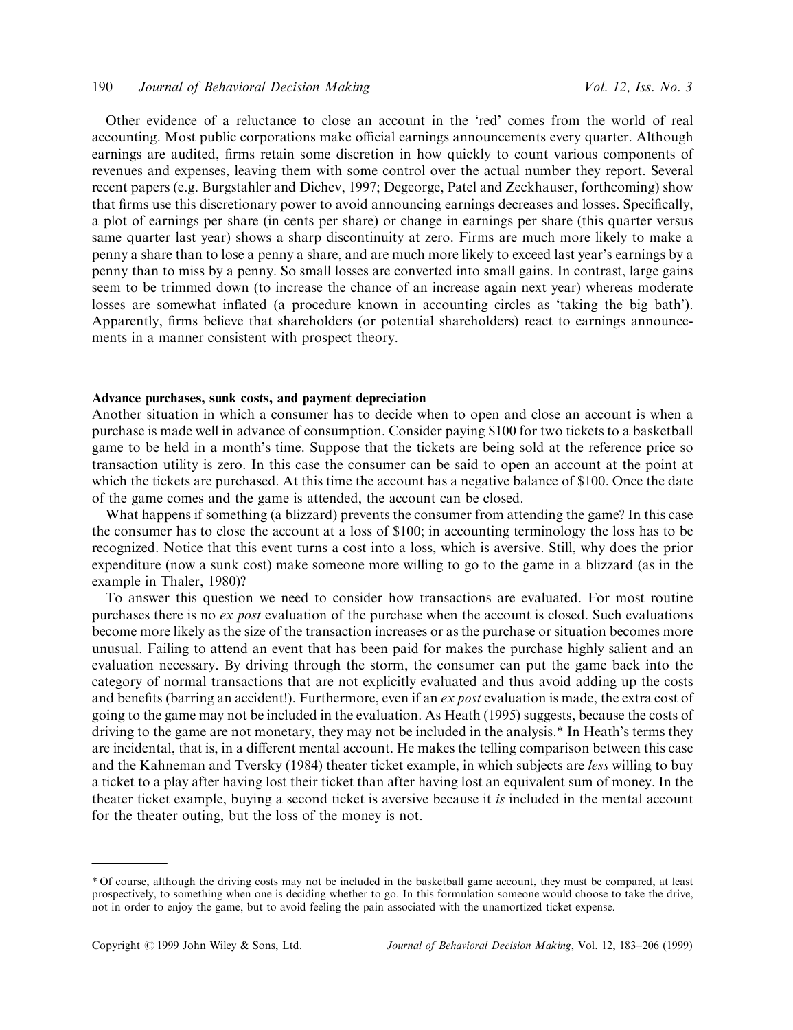# 190 *Journal of Behavioral Decision Making* Vol. 12, Iss. No. 3

Other evidence of a reluctance to close an account in the `red' comes from the world of real accounting. Most public corporations make official earnings announcements every quarter. Although earnings are audited, firms retain some discretion in how quickly to count various components of revenues and expenses, leaving them with some control over the actual number they report. Several recent papers (e.g. Burgstahler and Dichev, 1997; Degeorge, Patel and Zeckhauser, forthcoming) show that firms use this discretionary power to avoid announcing earnings decreases and losses. Specifically, a plot of earnings per share (in cents per share) or change in earnings per share (this quarter versus same quarter last year) shows a sharp discontinuity at zero. Firms are much more likely to make a penny a share than to lose a penny a share, and are much more likely to exceed last year's earnings by a penny than to miss by a penny. So small losses are converted into small gains. In contrast, large gains seem to be trimmed down (to increase the chance of an increase again next year) whereas moderate losses are somewhat inflated (a procedure known in accounting circles as 'taking the big bath'). Apparently, firms believe that shareholders (or potential shareholders) react to earnings announcements in a manner consistent with prospect theory.

### Advance purchases, sunk costs, and payment depreciation

Another situation in which a consumer has to decide when to open and close an account is when a purchase is made well in advance of consumption. Consider paying \$100 for two tickets to a basketball game to be held in a month's time. Suppose that the tickets are being sold at the reference price so transaction utility is zero. In this case the consumer can be said to open an account at the point at which the tickets are purchased. At this time the account has a negative balance of \$100. Once the date of the game comes and the game is attended, the account can be closed.

What happens if something (a blizzard) prevents the consumer from attending the game? In this case the consumer has to close the account at a loss of \$100; in accounting terminology the loss has to be recognized. Notice that this event turns a cost into a loss, which is aversive. Still, why does the prior expenditure (now a sunk cost) make someone more willing to go to the game in a blizzard (as in the example in Thaler, 1980)?

To answer this question we need to consider how transactions are evaluated. For most routine purchases there is no ex post evaluation of the purchase when the account is closed. Such evaluations become more likely as the size of the transaction increases or as the purchase or situation becomes more unusual. Failing to attend an event that has been paid for makes the purchase highly salient and an evaluation necessary. By driving through the storm, the consumer can put the game back into the category of normal transactions that are not explicitly evaluated and thus avoid adding up the costs and benefits (barring an accident!). Furthermore, even if an ex post evaluation is made, the extra cost of going to the game may not be included in the evaluation. As Heath (1995) suggests, because the costs of driving to the game are not monetary, they may not be included in the analysis.\* In Heath's terms they are incidental, that is, in a different mental account. He makes the telling comparison between this case and the Kahneman and Tversky (1984) theater ticket example, in which subjects are less willing to buy a ticket to a play after having lost their ticket than after having lost an equivalent sum of money. In the theater ticket example, buying a second ticket is aversive because it is included in the mental account for the theater outing, but the loss of the money is not.

<sup>\*</sup> Of course, although the driving costs may not be included in the basketball game account, they must be compared, at least prospectively, to something when one is deciding whether to go. In this formulation someone would choose to take the drive, not in order to enjoy the game, but to avoid feeling the pain associated with the unamortized ticket expense.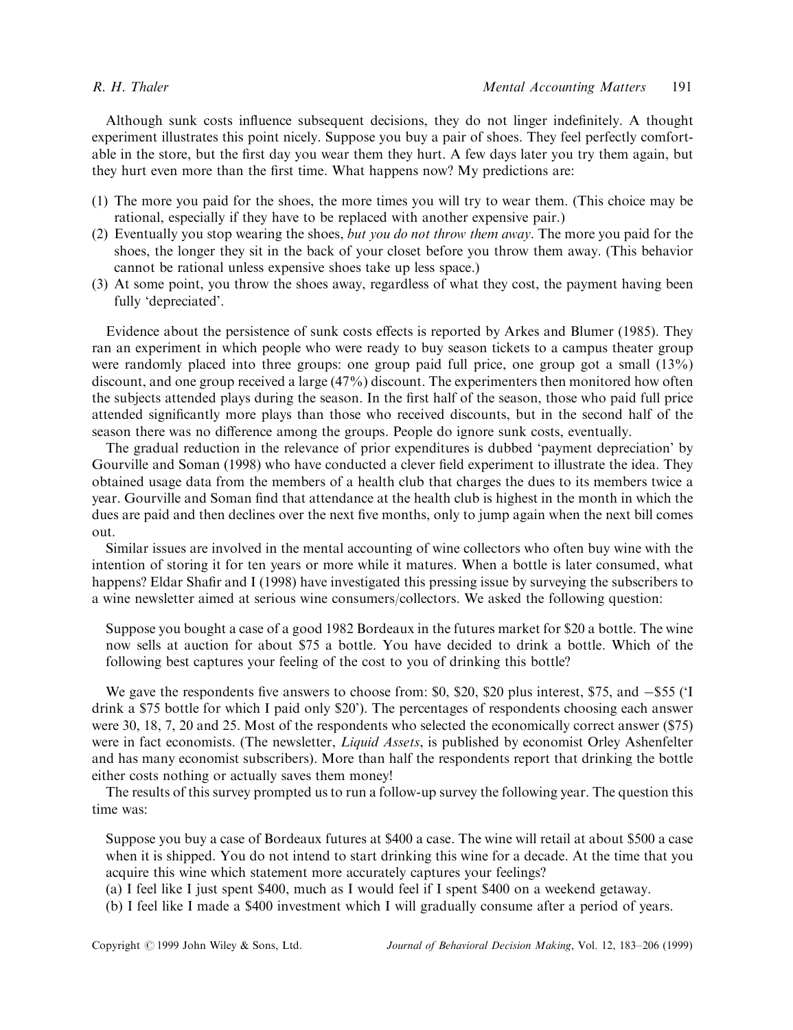Although sunk costs influence subsequent decisions, they do not linger indefinitely. A thought experiment illustrates this point nicely. Suppose you buy a pair of shoes. They feel perfectly comfortable in the store, but the first day you wear them they hurt. A few days later you try them again, but they hurt even more than the first time. What happens now? My predictions are:

- (1) The more you paid for the shoes, the more times you will try to wear them. (This choice may be rational, especially if they have to be replaced with another expensive pair.)
- (2) Eventually you stop wearing the shoes, but you do not throw them away. The more you paid for the shoes, the longer they sit in the back of your closet before you throw them away. (This behavior cannot be rational unless expensive shoes take up less space.)
- (3) At some point, you throw the shoes away, regardless of what they cost, the payment having been fully 'depreciated'.

Evidence about the persistence of sunk costs effects is reported by Arkes and Blumer (1985). They ran an experiment in which people who were ready to buy season tickets to a campus theater group were randomly placed into three groups: one group paid full price, one group got a small (13%) discount, and one group received a large (47%) discount. The experimenters then monitored how often the subjects attended plays during the season. In the first half of the season, those who paid full price attended significantly more plays than those who received discounts, but in the second half of the season there was no difference among the groups. People do ignore sunk costs, eventually.

The gradual reduction in the relevance of prior expenditures is dubbed `payment depreciation' by Gourville and Soman (1998) who have conducted a clever field experiment to illustrate the idea. They obtained usage data from the members of a health club that charges the dues to its members twice a year. Gourville and Soman find that attendance at the health club is highest in the month in which the dues are paid and then declines over the next five months, only to jump again when the next bill comes out.

Similar issues are involved in the mental accounting of wine collectors who often buy wine with the intention of storing it for ten years or more while it matures. When a bottle is later consumed, what happens? Eldar Shafir and I (1998) have investigated this pressing issue by surveying the subscribers to a wine newsletter aimed at serious wine consumers/collectors. We asked the following question:

Suppose you bought a case of a good 1982 Bordeaux in the futures market for \$20 a bottle. The wine now sells at auction for about \$75 a bottle. You have decided to drink a bottle. Which of the following best captures your feeling of the cost to you of drinking this bottle?

We gave the respondents five answers to choose from:  $\S$ 0,  $\S$ 20,  $\S$ 20 plus interest,  $\S$ 75, and  $-\$  555 ( $\prime$ I drink a \$75 bottle for which I paid only \$20'). The percentages of respondents choosing each answer were 30, 18, 7, 20 and 25. Most of the respondents who selected the economically correct answer (\$75) were in fact economists. (The newsletter, Liquid Assets, is published by economist Orley Ashenfelter and has many economist subscribers). More than half the respondents report that drinking the bottle either costs nothing or actually saves them money!

The results of this survey prompted us to run a follow-up survey the following year. The question this time was:

Suppose you buy a case of Bordeaux futures at \$400 a case. The wine will retail at about \$500 a case when it is shipped. You do not intend to start drinking this wine for a decade. At the time that you acquire this wine which statement more accurately captures your feelings?

(a) I feel like I just spent \$400, much as I would feel if I spent \$400 on a weekend getaway.

(b) I feel like I made a \$400 investment which I will gradually consume after a period of years.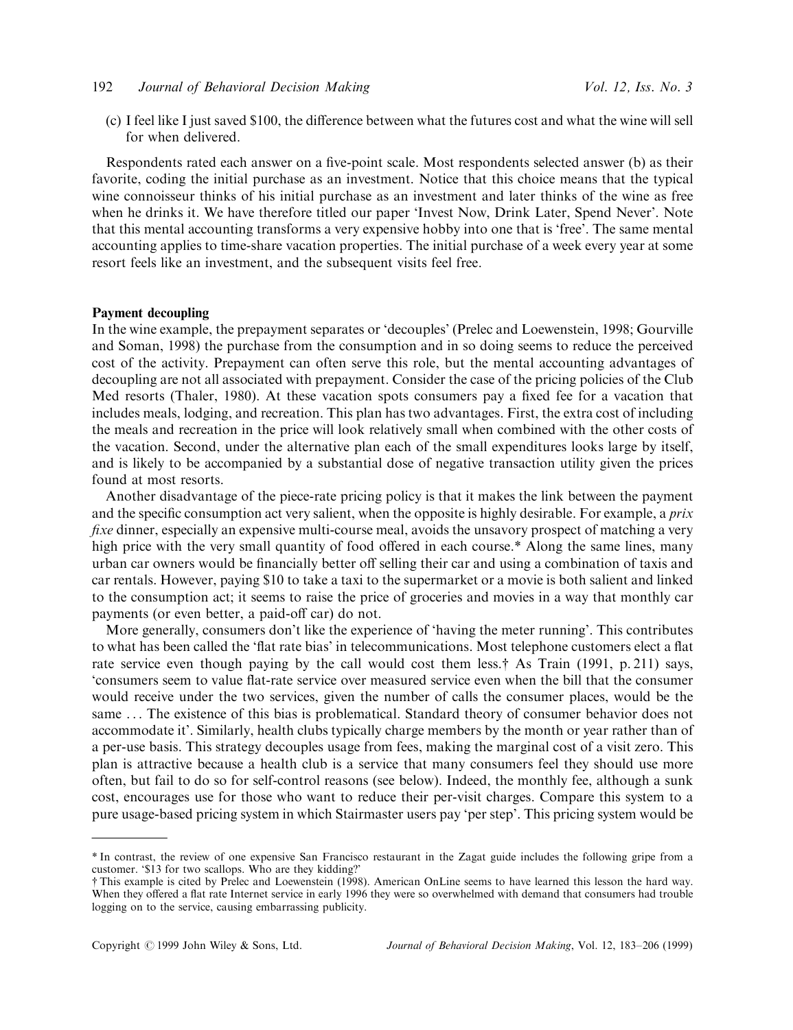(c) I feel like I just saved \$100, the difference between what the futures cost and what the wine will sell for when delivered.

Respondents rated each answer on a five-point scale. Most respondents selected answer (b) as their favorite, coding the initial purchase as an investment. Notice that this choice means that the typical wine connoisseur thinks of his initial purchase as an investment and later thinks of the wine as free when he drinks it. We have therefore titled our paper 'Invest Now, Drink Later, Spend Never'. Note that this mental accounting transforms a very expensive hobby into one that is `free'. The same mental accounting applies to time-share vacation properties. The initial purchase of a week every year at some resort feels like an investment, and the subsequent visits feel free.

### Payment decoupling

In the wine example, the prepayment separates or 'decouples' (Prelec and Loewenstein, 1998; Gourville and Soman, 1998) the purchase from the consumption and in so doing seems to reduce the perceived cost of the activity. Prepayment can often serve this role, but the mental accounting advantages of decoupling are not all associated with prepayment. Consider the case of the pricing policies of the Club Med resorts (Thaler, 1980). At these vacation spots consumers pay a fixed fee for a vacation that includes meals, lodging, and recreation. This plan has two advantages. First, the extra cost of including the meals and recreation in the price will look relatively small when combined with the other costs of the vacation. Second, under the alternative plan each of the small expenditures looks large by itself, and is likely to be accompanied by a substantial dose of negative transaction utility given the prices found at most resorts.

Another disadvantage of the piece-rate pricing policy is that it makes the link between the payment and the specific consumption act very salient, when the opposite is highly desirable. For example, a *prix* fixe dinner, especially an expensive multi-course meal, avoids the unsavory prospect of matching a very high price with the very small quantity of food offered in each course.\* Along the same lines, many urban car owners would be financially better off selling their car and using a combination of taxis and car rentals. However, paying \$10 to take a taxi to the supermarket or a movie is both salient and linked to the consumption act; it seems to raise the price of groceries and movies in a way that monthly car payments (or even better, a paid-off car) do not.

More generally, consumers don't like the experience of 'having the meter running'. This contributes to what has been called the 'flat rate bias' in telecommunications. Most telephone customers elect a flat rate service even though paying by the call would cost them less.<sup>†</sup> As Train (1991, p. 211) says, `consumers seem to value ¯at-rate service over measured service even when the bill that the consumer would receive under the two services, given the number of calls the consumer places, would be the same . . . The existence of this bias is problematical. Standard theory of consumer behavior does not accommodate it'. Similarly, health clubs typically charge members by the month or year rather than of a per-use basis. This strategy decouples usage from fees, making the marginal cost of a visit zero. This plan is attractive because a health club is a service that many consumers feel they should use more often, but fail to do so for self-control reasons (see below). Indeed, the monthly fee, although a sunk cost, encourages use for those who want to reduce their per-visit charges. Compare this system to a pure usage-based pricing system in which Stairmaster users pay `per step'. This pricing system would be

<sup>\*</sup> In contrast, the review of one expensive San Francisco restaurant in the Zagat guide includes the following gripe from a customer. `\$13 for two scallops. Who are they kidding?'

<sup>{</sup> This example is cited by Prelec and Loewenstein (1998). American OnLine seems to have learned this lesson the hard way. When they offered a flat rate Internet service in early 1996 they were so overwhelmed with demand that consumers had trouble logging on to the service, causing embarrassing publicity.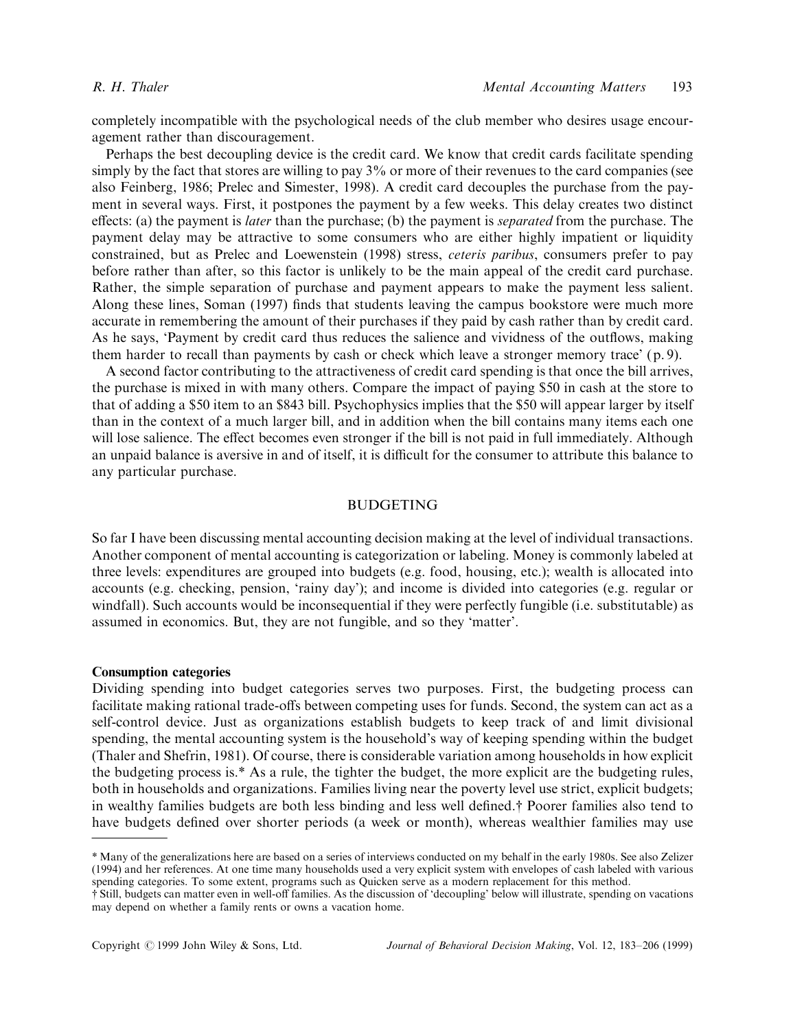completely incompatible with the psychological needs of the club member who desires usage encouragement rather than discouragement.

Perhaps the best decoupling device is the credit card. We know that credit cards facilitate spending simply by the fact that stores are willing to pay  $3\%$  or more of their revenues to the card companies (see also Feinberg, 1986; Prelec and Simester, 1998). A credit card decouples the purchase from the payment in several ways. First, it postpones the payment by a few weeks. This delay creates two distinct effects: (a) the payment is *later* than the purchase; (b) the payment is *separated* from the purchase. The payment delay may be attractive to some consumers who are either highly impatient or liquidity constrained, but as Prelec and Loewenstein (1998) stress, ceteris paribus, consumers prefer to pay before rather than after, so this factor is unlikely to be the main appeal of the credit card purchase. Rather, the simple separation of purchase and payment appears to make the payment less salient. Along these lines, Soman (1997) finds that students leaving the campus bookstore were much more accurate in remembering the amount of their purchases if they paid by cash rather than by credit card. As he says, 'Payment by credit card thus reduces the salience and vividness of the outflows, making them harder to recall than payments by cash or check which leave a stronger memory trace' (p. 9).

A second factor contributing to the attractiveness of credit card spending is that once the bill arrives, the purchase is mixed in with many others. Compare the impact of paying \$50 in cash at the store to that of adding a \$50 item to an \$843 bill. Psychophysics implies that the \$50 will appear larger by itself than in the context of a much larger bill, and in addition when the bill contains many items each one will lose salience. The effect becomes even stronger if the bill is not paid in full immediately. Although an unpaid balance is aversive in and of itself, it is difficult for the consumer to attribute this balance to any particular purchase.

### BUDGETING

So far I have been discussing mental accounting decision making at the level of individual transactions. Another component of mental accounting is categorization or labeling. Money is commonly labeled at three levels: expenditures are grouped into budgets (e.g. food, housing, etc.); wealth is allocated into accounts (e.g. checking, pension, `rainy day'); and income is divided into categories (e.g. regular or windfall). Such accounts would be inconsequential if they were perfectly fungible (i.e. substitutable) as assumed in economics. But, they are not fungible, and so they `matter'.

### Consumption categories

Dividing spending into budget categories serves two purposes. First, the budgeting process can facilitate making rational trade-offs between competing uses for funds. Second, the system can act as a self-control device. Just as organizations establish budgets to keep track of and limit divisional spending, the mental accounting system is the household's way of keeping spending within the budget (Thaler and Shefrin, 1981). Of course, there is considerable variation among households in how explicit the budgeting process is.\* As a rule, the tighter the budget, the more explicit are the budgeting rules, both in households and organizations. Families living near the poverty level use strict, explicit budgets; in wealthy families budgets are both less binding and less well defined.† Poorer families also tend to have budgets defined over shorter periods (a week or month), whereas wealthier families may use

<sup>\*</sup> Many of the generalizations here are based on a series of interviews conducted on my behalf in the early 1980s. See also Zelizer (1994) and her references. At one time many households used a very explicit system with envelopes of cash labeled with various spending categories. To some extent, programs such as Quicken serve as a modern replacement for this method.

 $\dagger$  Still, budgets can matter even in well-off families. As the discussion of 'decoupling' below will illustrate, spending on vacations may depend on whether a family rents or owns a vacation home.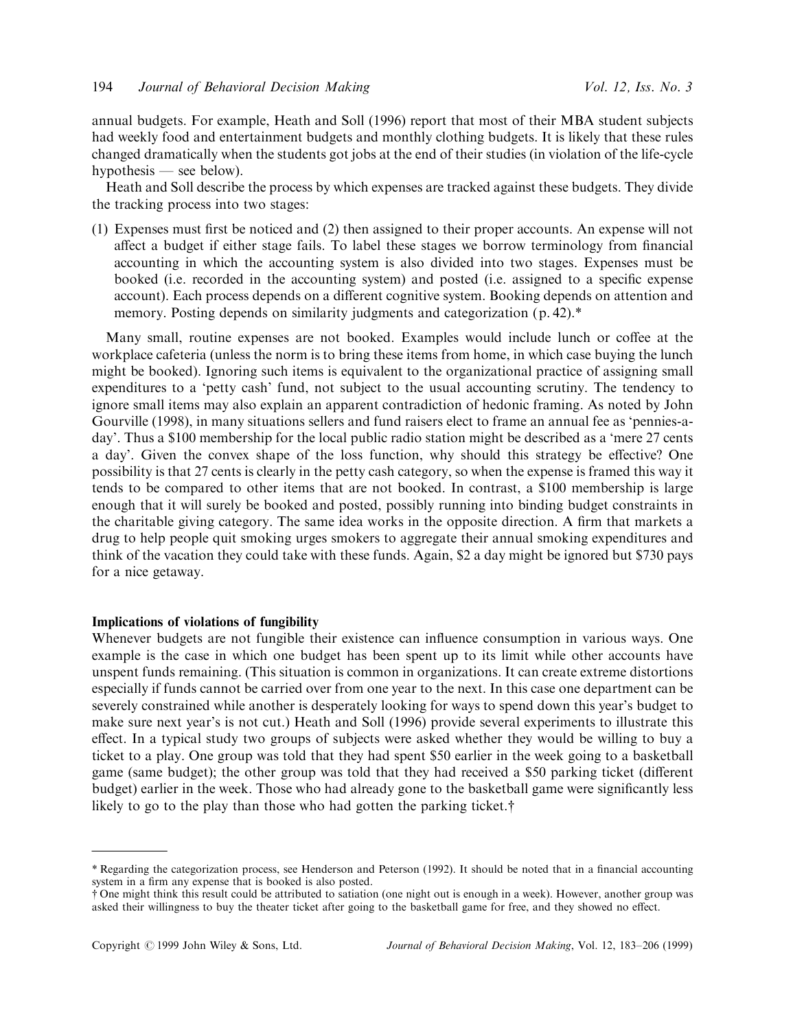annual budgets. For example, Heath and Soll (1996) report that most of their MBA student subjects had weekly food and entertainment budgets and monthly clothing budgets. It is likely that these rules changed dramatically when the students got jobs at the end of their studies (in violation of the life-cycle hypothesis  $-$  see below).

Heath and Soll describe the process by which expenses are tracked against these budgets. They divide the tracking process into two stages:

(1) Expenses must first be noticed and (2) then assigned to their proper accounts. An expense will not affect a budget if either stage fails. To label these stages we borrow terminology from financial accounting in which the accounting system is also divided into two stages. Expenses must be booked (i.e. recorded in the accounting system) and posted (i.e. assigned to a specific expense account). Each process depends on a different cognitive system. Booking depends on attention and memory. Posting depends on similarity judgments and categorization (p. 42).<sup>\*</sup>

Many small, routine expenses are not booked. Examples would include lunch or coffee at the workplace cafeteria (unless the norm is to bring these items from home, in which case buying the lunch might be booked). Ignoring such items is equivalent to the organizational practice of assigning small expenditures to a 'petty cash' fund, not subject to the usual accounting scrutiny. The tendency to ignore small items may also explain an apparent contradiction of hedonic framing. As noted by John Gourville (1998), in many situations sellers and fund raisers elect to frame an annual fee as `pennies-aday'. Thus a \$100 membership for the local public radio station might be described as a 'mere 27 cents a day'. Given the convex shape of the loss function, why should this strategy be effective? One possibility is that 27 cents is clearly in the petty cash category, so when the expense is framed this way it tends to be compared to other items that are not booked. In contrast, a \$100 membership is large enough that it will surely be booked and posted, possibly running into binding budget constraints in the charitable giving category. The same idea works in the opposite direction. A firm that markets a drug to help people quit smoking urges smokers to aggregate their annual smoking expenditures and think of the vacation they could take with these funds. Again, \$2 a day might be ignored but \$730 pays for a nice getaway.

### Implications of violations of fungibility

Whenever budgets are not fungible their existence can influence consumption in various ways. One example is the case in which one budget has been spent up to its limit while other accounts have unspent funds remaining. (This situation is common in organizations. It can create extreme distortions especially if funds cannot be carried over from one year to the next. In this case one department can be severely constrained while another is desperately looking for ways to spend down this year's budget to make sure next year's is not cut.) Heath and Soll (1996) provide several experiments to illustrate this effect. In a typical study two groups of subjects were asked whether they would be willing to buy a ticket to a play. One group was told that they had spent \$50 earlier in the week going to a basketball game (same budget); the other group was told that they had received a \$50 parking ticket (different budget) earlier in the week. Those who had already gone to the basketball game were significantly less likely to go to the play than those who had gotten the parking ticket.<sup>†</sup>

<sup>\*</sup> Regarding the categorization process, see Henderson and Peterson (1992). It should be noted that in a financial accounting system in a firm any expense that is booked is also posted.

<sup>{</sup> One might think this result could be attributed to satiation (one night out is enough in a week). However, another group was asked their willingness to buy the theater ticket after going to the basketball game for free, and they showed no effect.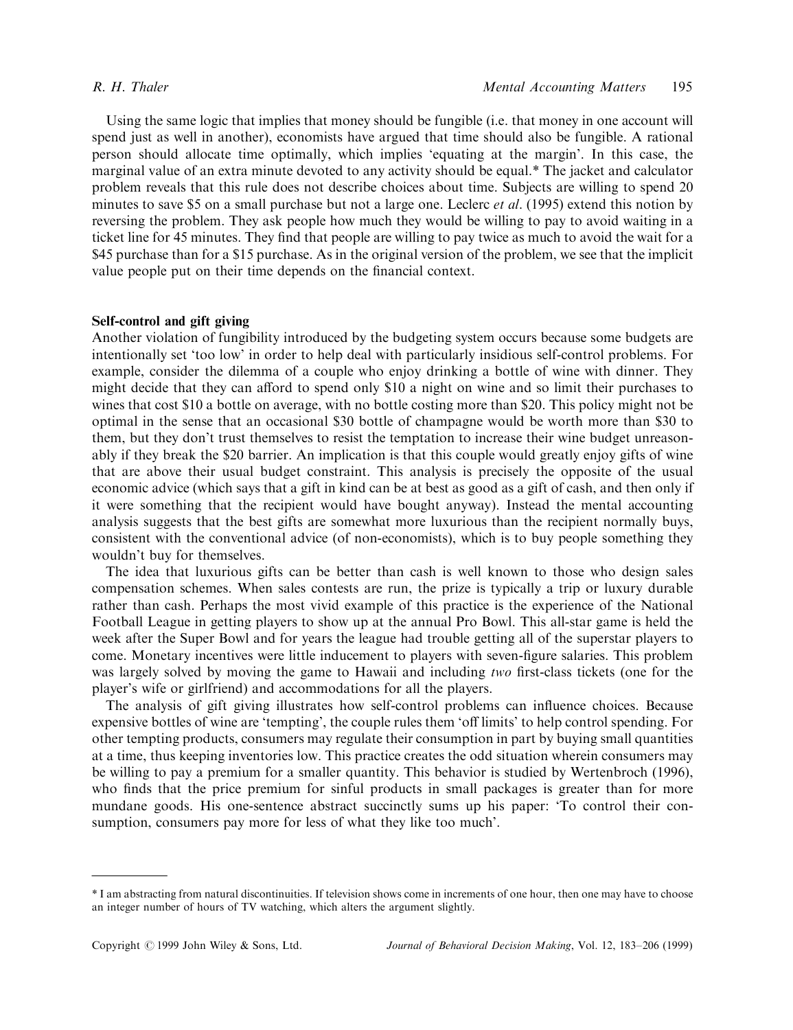Using the same logic that implies that money should be fungible (i.e. that money in one account will spend just as well in another), economists have argued that time should also be fungible. A rational person should allocate time optimally, which implies `equating at the margin'. In this case, the marginal value of an extra minute devoted to any activity should be equal.\* The jacket and calculator problem reveals that this rule does not describe choices about time. Subjects are willing to spend 20 minutes to save \$5 on a small purchase but not a large one. Leclerc *et al.* (1995) extend this notion by reversing the problem. They ask people how much they would be willing to pay to avoid waiting in a ticket line for 45 minutes. They find that people are willing to pay twice as much to avoid the wait for a \$45 purchase than for a \$15 purchase. As in the original version of the problem, we see that the implicit value people put on their time depends on the financial context.

### Self-control and gift giving

Another violation of fungibility introduced by the budgeting system occurs because some budgets are intentionally set `too low' in order to help deal with particularly insidious self-control problems. For example, consider the dilemma of a couple who enjoy drinking a bottle of wine with dinner. They might decide that they can afford to spend only \$10 a night on wine and so limit their purchases to wines that cost \$10 a bottle on average, with no bottle costing more than \$20. This policy might not be optimal in the sense that an occasional \$30 bottle of champagne would be worth more than \$30 to them, but they don't trust themselves to resist the temptation to increase their wine budget unreasonably if they break the \$20 barrier. An implication is that this couple would greatly enjoy gifts of wine that are above their usual budget constraint. This analysis is precisely the opposite of the usual economic advice (which says that a gift in kind can be at best as good as a gift of cash, and then only if it were something that the recipient would have bought anyway). Instead the mental accounting analysis suggests that the best gifts are somewhat more luxurious than the recipient normally buys, consistent with the conventional advice (of non-economists), which is to buy people something they wouldn't buy for themselves.

The idea that luxurious gifts can be better than cash is well known to those who design sales compensation schemes. When sales contests are run, the prize is typically a trip or luxury durable rather than cash. Perhaps the most vivid example of this practice is the experience of the National Football League in getting players to show up at the annual Pro Bowl. This all-star game is held the week after the Super Bowl and for years the league had trouble getting all of the superstar players to come. Monetary incentives were little inducement to players with seven-figure salaries. This problem was largely solved by moving the game to Hawaii and including two first-class tickets (one for the player's wife or girlfriend) and accommodations for all the players.

The analysis of gift giving illustrates how self-control problems can influence choices. Because expensive bottles of wine are 'tempting', the couple rules them 'off limits' to help control spending. For other tempting products, consumers may regulate their consumption in part by buying small quantities at a time, thus keeping inventories low. This practice creates the odd situation wherein consumers may be willing to pay a premium for a smaller quantity. This behavior is studied by Wertenbroch (1996), who finds that the price premium for sinful products in small packages is greater than for more mundane goods. His one-sentence abstract succinctly sums up his paper: `To control their consumption, consumers pay more for less of what they like too much'.

<sup>\*</sup> I am abstracting from natural discontinuities. If television shows come in increments of one hour, then one may have to choose an integer number of hours of TV watching, which alters the argument slightly.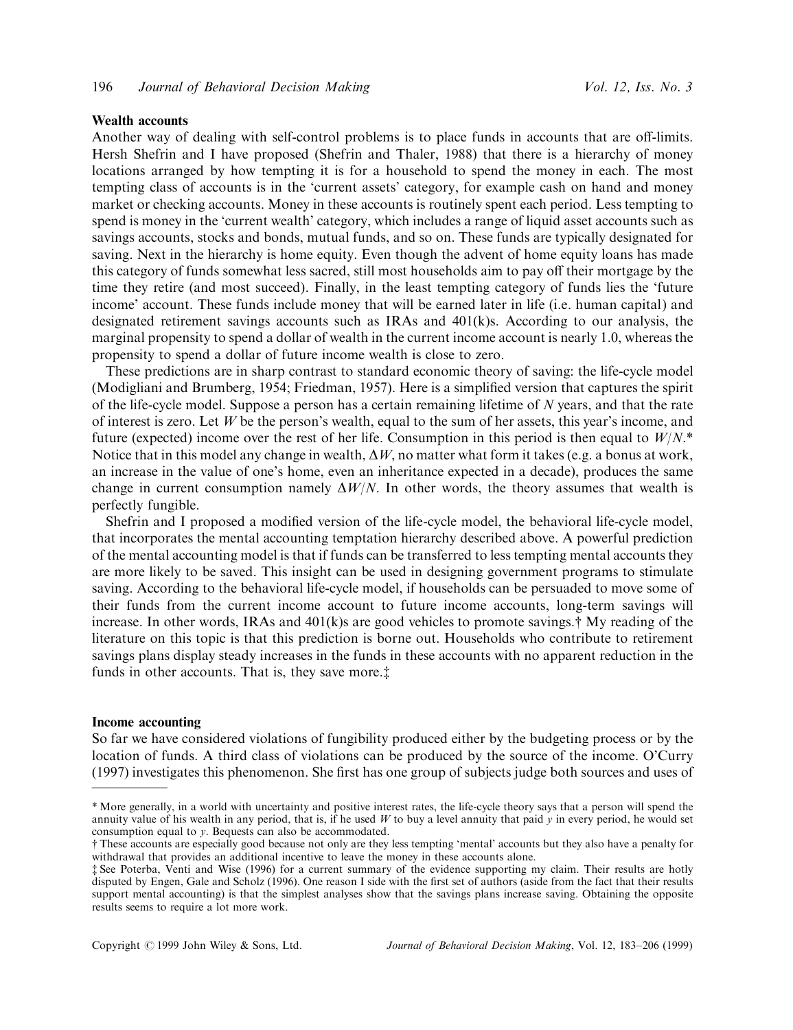### Wealth accounts

Another way of dealing with self-control problems is to place funds in accounts that are off-limits. Hersh Shefrin and I have proposed (Shefrin and Thaler, 1988) that there is a hierarchy of money locations arranged by how tempting it is for a household to spend the money in each. The most tempting class of accounts is in the `current assets' category, for example cash on hand and money market or checking accounts. Money in these accounts is routinely spent each period. Less tempting to spend is money in the 'current wealth' category, which includes a range of liquid asset accounts such as savings accounts, stocks and bonds, mutual funds, and so on. These funds are typically designated for saving. Next in the hierarchy is home equity. Even though the advent of home equity loans has made this category of funds somewhat less sacred, still most households aim to pay off their mortgage by the time they retire (and most succeed). Finally, in the least tempting category of funds lies the `future income' account. These funds include money that will be earned later in life (i.e. human capital) and designated retirement savings accounts such as IRAs and 401(k)s. According to our analysis, the marginal propensity to spend a dollar of wealth in the current income account is nearly 1.0, whereas the propensity to spend a dollar of future income wealth is close to zero.

These predictions are in sharp contrast to standard economic theory of saving: the life-cycle model (Modigliani and Brumberg, 1954; Friedman, 1957). Here is a simplified version that captures the spirit of the life-cycle model. Suppose a person has a certain remaining lifetime of N years, and that the rate of interest is zero. Let W be the person's wealth, equal to the sum of her assets, this year's income, and future (expected) income over the rest of her life. Consumption in this period is then equal to  $W/N$ <sup>\*</sup> Notice that in this model any change in wealth,  $\Delta W$ , no matter what form it takes (e.g. a bonus at work, an increase in the value of one's home, even an inheritance expected in a decade), produces the same change in current consumption namely  $\Delta W/N$ . In other words, the theory assumes that wealth is perfectly fungible.

Shefrin and I proposed a modified version of the life-cycle model, the behavioral life-cycle model, that incorporates the mental accounting temptation hierarchy described above. A powerful prediction of the mental accounting model is that if funds can be transferred to less tempting mental accounts they are more likely to be saved. This insight can be used in designing government programs to stimulate saving. According to the behavioral life-cycle model, if households can be persuaded to move some of their funds from the current income account to future income accounts, long-term savings will increase. In other words, IRAs and  $401(k)$ s are good vehicles to promote savings. $\dagger$  My reading of the literature on this topic is that this prediction is borne out. Households who contribute to retirement savings plans display steady increases in the funds in these accounts with no apparent reduction in the funds in other accounts. That is, they save more. $\ddot{\uparrow}$ 

### Income accounting

So far we have considered violations of fungibility produced either by the budgeting process or by the location of funds. A third class of violations can be produced by the source of the income. O'Curry (1997) investigates this phenomenon. She first has one group of subjects judge both sources and uses of

<sup>\*</sup> More generally, in a world with uncertainty and positive interest rates, the life-cycle theory says that a person will spend the annuity value of his wealth in any period, that is, if he used  $W$  to buy a level annuity that paid  $y$  in every period, he would set consumption equal to y. Bequests can also be accommodated.

<sup>{</sup> These accounts are especially good because not only are they less tempting `mental' accounts but they also have a penalty for withdrawal that provides an additional incentive to leave the money in these accounts alone.

<sup>{</sup> See Poterba, Venti and Wise (1996) for a current summary of the evidence supporting my claim. Their results are hotly disputed by Engen, Gale and Scholz (1996). One reason I side with the first set of authors (aside from the fact that their results support mental accounting) is that the simplest analyses show that the savings plans increase saving. Obtaining the opposite results seems to require a lot more work.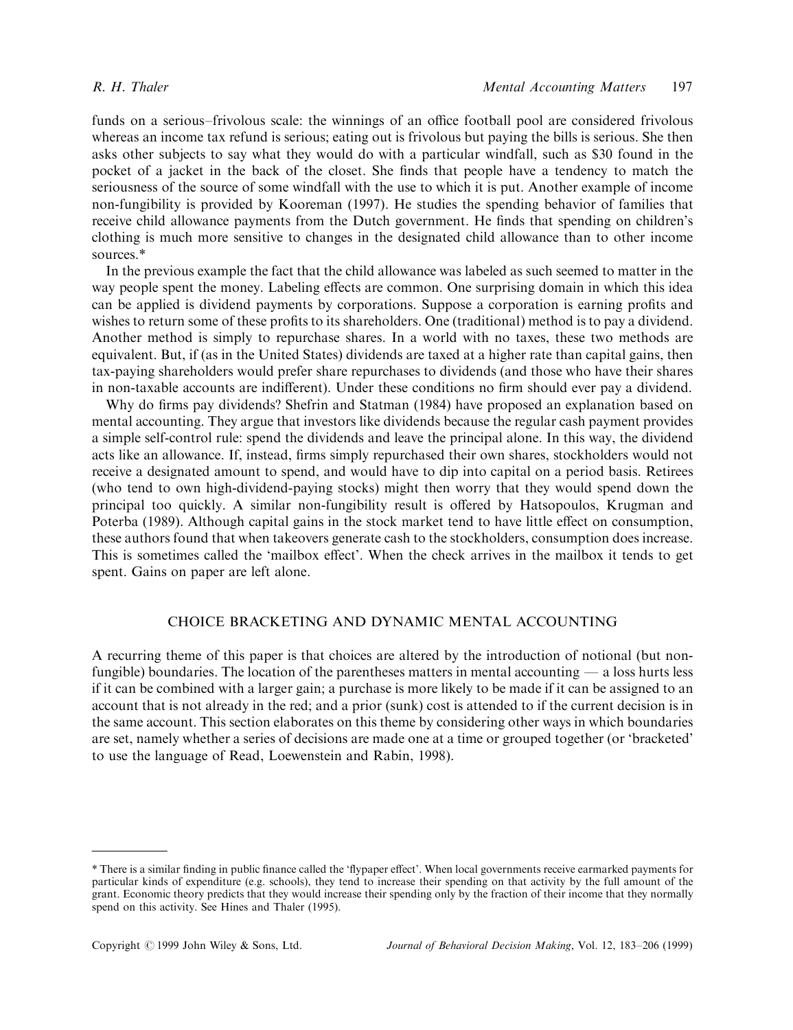funds on a serious-frivolous scale: the winnings of an office football pool are considered frivolous whereas an income tax refund is serious; eating out is frivolous but paying the bills is serious. She then asks other subjects to say what they would do with a particular windfall, such as \$30 found in the pocket of a jacket in the back of the closet. She finds that people have a tendency to match the seriousness of the source of some windfall with the use to which it is put. Another example of income non-fungibility is provided by Kooreman (1997). He studies the spending behavior of families that receive child allowance payments from the Dutch government. He finds that spending on children's clothing is much more sensitive to changes in the designated child allowance than to other income sources.\*

In the previous example the fact that the child allowance was labeled as such seemed to matter in the way people spent the money. Labeling effects are common. One surprising domain in which this idea can be applied is dividend payments by corporations. Suppose a corporation is earning profits and wishes to return some of these profits to its shareholders. One (traditional) method is to pay a dividend. Another method is simply to repurchase shares. In a world with no taxes, these two methods are equivalent. But, if (as in the United States) dividends are taxed at a higher rate than capital gains, then tax-paying shareholders would prefer share repurchases to dividends (and those who have their shares in non-taxable accounts are indifferent). Under these conditions no firm should ever pay a dividend.

Why do firms pay dividends? Shefrin and Statman (1984) have proposed an explanation based on mental accounting. They argue that investors like dividends because the regular cash payment provides a simple self-control rule: spend the dividends and leave the principal alone. In this way, the dividend acts like an allowance. If, instead, firms simply repurchased their own shares, stockholders would not receive a designated amount to spend, and would have to dip into capital on a period basis. Retirees (who tend to own high-dividend-paying stocks) might then worry that they would spend down the principal too quickly. A similar non-fungibility result is offered by Hatsopoulos, Krugman and Poterba (1989). Although capital gains in the stock market tend to have little effect on consumption, these authors found that when takeovers generate cash to the stockholders, consumption does increase. This is sometimes called the 'mailbox effect'. When the check arrives in the mailbox it tends to get spent. Gains on paper are left alone.

## CHOICE BRACKETING AND DYNAMIC MENTAL ACCOUNTING

A recurring theme of this paper is that choices are altered by the introduction of notional (but nonfungible) boundaries. The location of the parentheses matters in mental accounting  $\overline{\phantom{a}}$  a loss hurts less if it can be combined with a larger gain; a purchase is more likely to be made if it can be assigned to an account that is not already in the red; and a prior (sunk) cost is attended to if the current decision is in the same account. This section elaborates on this theme by considering other ways in which boundaries are set, namely whether a series of decisions are made one at a time or grouped together (or `bracketed' to use the language of Read, Loewenstein and Rabin, 1998).

<sup>\*</sup> There is a similar finding in public finance called the 'flypaper effect'. When local governments receive earmarked payments for particular kinds of expenditure (e.g. schools), they tend to increase their spending on that activity by the full amount of the grant. Economic theory predicts that they would increase their spending only by the fraction of their income that they normally spend on this activity. See Hines and Thaler (1995).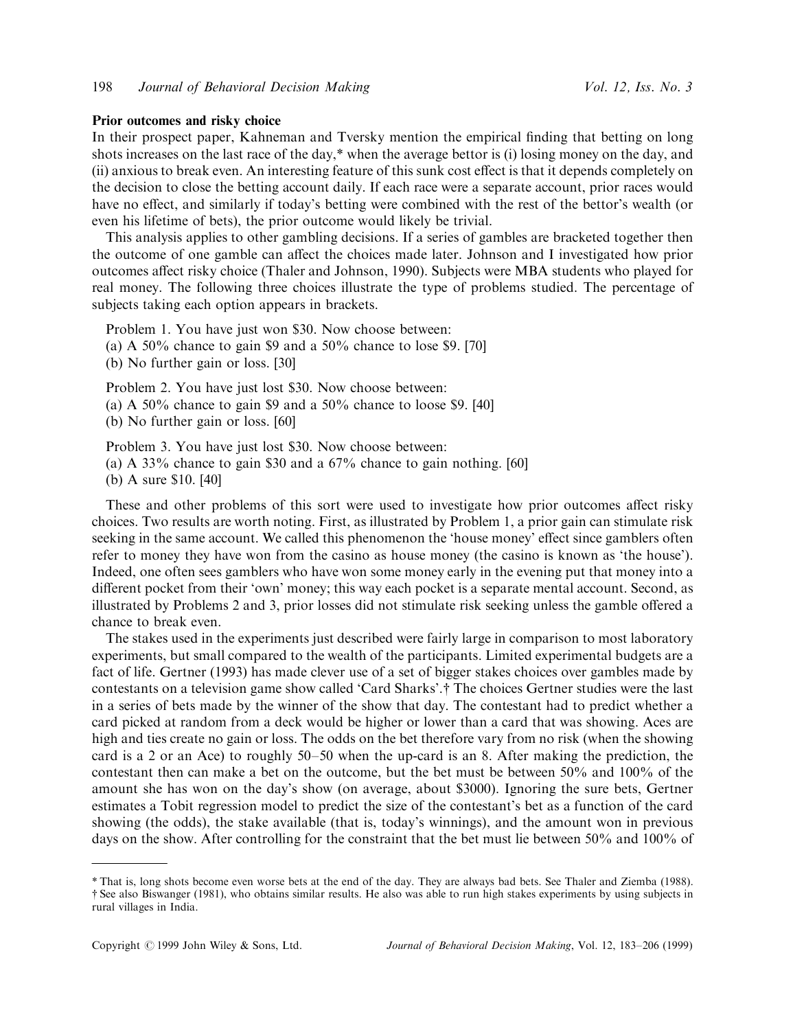### Prior outcomes and risky choice

In their prospect paper, Kahneman and Tversky mention the empirical finding that betting on long shots increases on the last race of the day,\* when the average bettor is (i) losing money on the day, and (ii) anxious to break even. An interesting feature of this sunk cost effect is that it depends completely on the decision to close the betting account daily. If each race were a separate account, prior races would have no effect, and similarly if today's betting were combined with the rest of the bettor's wealth (or even his lifetime of bets), the prior outcome would likely be trivial.

This analysis applies to other gambling decisions. If a series of gambles are bracketed together then the outcome of one gamble can affect the choices made later. Johnson and I investigated how prior outcomes affect risky choice (Thaler and Johnson, 1990). Subjects were MBA students who played for real money. The following three choices illustrate the type of problems studied. The percentage of subjects taking each option appears in brackets.

Problem 1. You have just won \$30. Now choose between: (a) A 50% chance to gain \$9 and a 50% chance to lose \$9. [70] (b) No further gain or loss. [30]

Problem 2. You have just lost \$30. Now choose between: (a) A 50% chance to gain  $$9$  and a 50% chance to loose  $$9$ . [40] (b) No further gain or loss. [60] Problem 3. You have just lost \$30. Now choose between:

(a) A 33% chance to gain \$30 and a 67% chance to gain nothing. [60]

(b) A sure \$10. [40]

These and other problems of this sort were used to investigate how prior outcomes affect risky choices. Two results are worth noting. First, as illustrated by Problem 1, a prior gain can stimulate risk seeking in the same account. We called this phenomenon the 'house money' effect since gamblers often refer to money they have won from the casino as house money (the casino is known as 'the house'). Indeed, one often sees gamblers who have won some money early in the evening put that money into a different pocket from their 'own' money; this way each pocket is a separate mental account. Second, as illustrated by Problems 2 and 3, prior losses did not stimulate risk seeking unless the gamble offered a chance to break even.

The stakes used in the experiments just described were fairly large in comparison to most laboratory experiments, but small compared to the wealth of the participants. Limited experimental budgets are a fact of life. Gertner (1993) has made clever use of a set of bigger stakes choices over gambles made by contestants on a television game show called `Card Sharks'.{ The choices Gertner studies were the last in a series of bets made by the winner of the show that day. The contestant had to predict whether a card picked at random from a deck would be higher or lower than a card that was showing. Aces are high and ties create no gain or loss. The odds on the bet therefore vary from no risk (when the showing card is a 2 or an Ace) to roughly  $50-50$  when the up-card is an 8. After making the prediction, the contestant then can make a bet on the outcome, but the bet must be between 50% and 100% of the amount she has won on the day's show (on average, about \$3000). Ignoring the sure bets, Gertner estimates a Tobit regression model to predict the size of the contestant's bet as a function of the card showing (the odds), the stake available (that is, today's winnings), and the amount won in previous days on the show. After controlling for the constraint that the bet must lie between 50% and 100% of

<sup>\*</sup> That is, long shots become even worse bets at the end of the day. They are always bad bets. See Thaler and Ziemba (1988). { See also Biswanger (1981), who obtains similar results. He also was able to run high stakes experiments by using subjects in rural villages in India.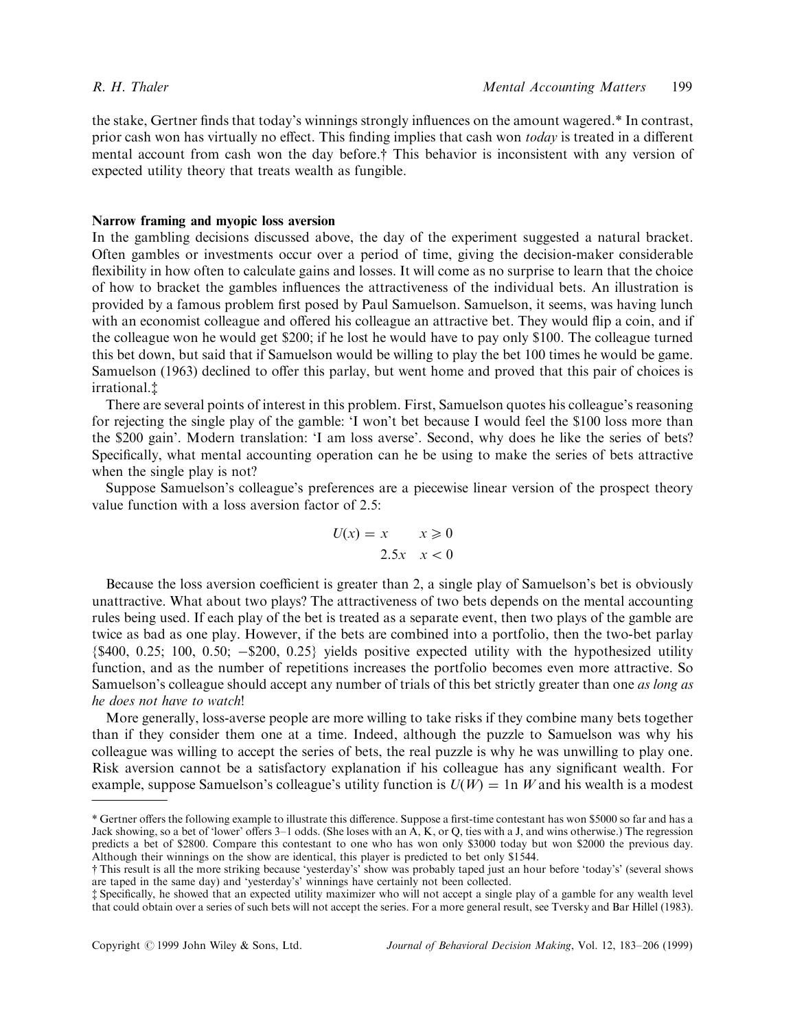the stake, Gertner finds that today's winnings strongly influences on the amount wagered.\* In contrast, prior cash won has virtually no effect. This finding implies that cash won *today* is treated in a different mental account from cash won the day before.<sup>†</sup> This behavior is inconsistent with any version of expected utility theory that treats wealth as fungible.

### Narrow framing and myopic loss aversion

In the gambling decisions discussed above, the day of the experiment suggested a natural bracket. Often gambles or investments occur over a period of time, giving the decision-maker considerable flexibility in how often to calculate gains and losses. It will come as no surprise to learn that the choice of how to bracket the gambles influences the attractiveness of the individual bets. An illustration is provided by a famous problem first posed by Paul Samuelson. Samuelson, it seems, was having lunch with an economist colleague and offered his colleague an attractive bet. They would flip a coin, and if the colleague won he would get \$200; if he lost he would have to pay only \$100. The colleague turned this bet down, but said that if Samuelson would be willing to play the bet 100 times he would be game. Samuelson (1963) declined to offer this parlay, but went home and proved that this pair of choices is irrational.<sup>†</sup>

There are several points of interest in this problem. First, Samuelson quotes his colleague's reasoning for rejecting the single play of the gamble: `I won't bet because I would feel the \$100 loss more than the \$200 gain'. Modern translation: `I am loss averse'. Second, why does he like the series of bets? Specifically, what mental accounting operation can he be using to make the series of bets attractive when the single play is not?

Suppose Samuelson's colleague's preferences are a piecewise linear version of the prospect theory value function with a loss aversion factor of 2.5:

$$
U(x) = x \t x \ge 0
$$
  
2.5x  $x < 0$ 

Because the loss aversion coefficient is greater than 2, a single play of Samuelson's bet is obviously unattractive. What about two plays? The attractiveness of two bets depends on the mental accounting rules being used. If each play of the bet is treated as a separate event, then two plays of the gamble are twice as bad as one play. However, if the bets are combined into a portfolio, then the two-bet parlay  $\{ $400, 0.25; 100, 0.50; -$200, 0.25 \}$  yields positive expected utility with the hypothesized utility function, and as the number of repetitions increases the portfolio becomes even more attractive. So Samuelson's colleague should accept any number of trials of this bet strictly greater than one *as long as* he does not have to watch!

More generally, loss-averse people are more willing to take risks if they combine many bets together than if they consider them one at a time. Indeed, although the puzzle to Samuelson was why his colleague was willing to accept the series of bets, the real puzzle is why he was unwilling to play one. Risk aversion cannot be a satisfactory explanation if his colleague has any significant wealth. For example, suppose Samuelson's colleague's utility function is  $U(W) = \ln W$  and his wealth is a modest

<sup>\*</sup> Gertner offers the following example to illustrate this difference. Suppose a first-time contestant has won \$5000 so far and has a Jack showing, so a bet of 'lower' offers 3–1 odds. (She loses with an  $\hat{A}$ , K, or Q, ties with a J, and wins otherwise.) The regression predicts a bet of \$2800. Compare this contestant to one who has won only \$3000 today but won \$2000 the previous day. Although their winnings on the show are identical, this player is predicted to bet only \$1544.

<sup>{</sup> This result is all the more striking because `yesterday's' show was probably taped just an hour before `today's' (several shows are taped in the same day) and `yesterday's' winnings have certainly not been collected.

<sup>{</sup> Speci®cally, he showed that an expected utility maximizer who will not accept a single play of a gamble for any wealth level that could obtain over a series of such bets will not accept the series. For a more general result, see Tversky and Bar Hillel (1983).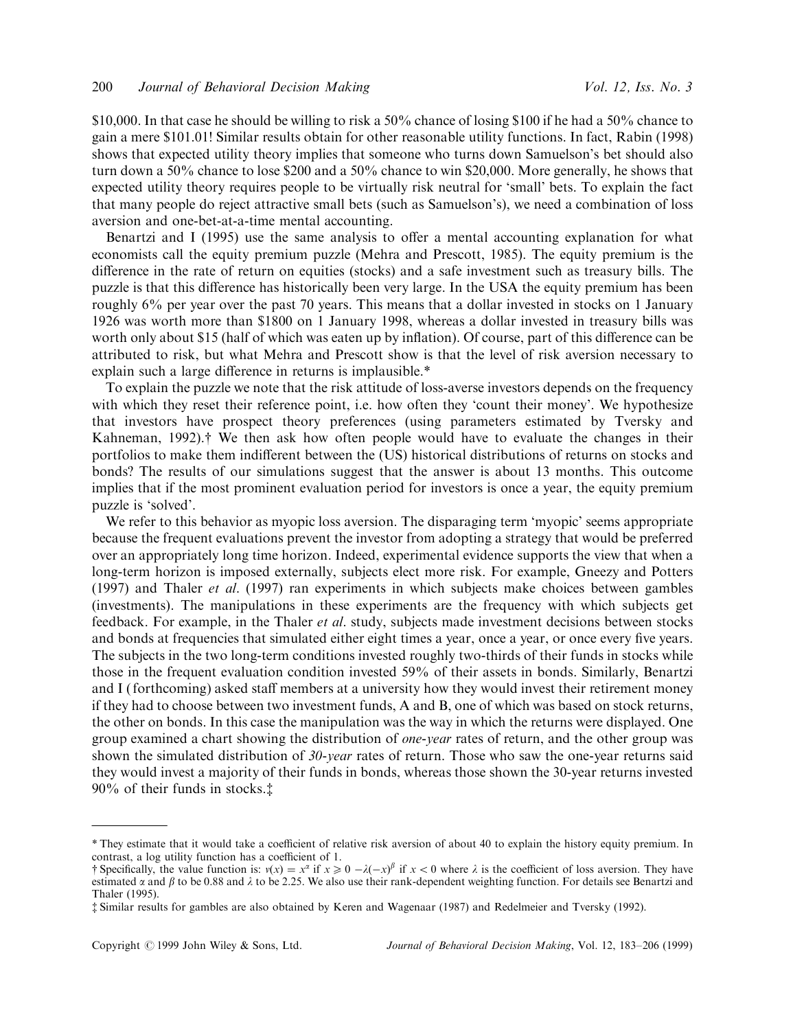\$10,000. In that case he should be willing to risk a 50% chance of losing \$100 if he had a 50% chance to gain a mere \$101.01! Similar results obtain for other reasonable utility functions. In fact, Rabin (1998) shows that expected utility theory implies that someone who turns down Samuelson's bet should also turn down a 50% chance to lose \$200 and a 50% chance to win \$20,000. More generally, he shows that expected utility theory requires people to be virtually risk neutral for 'small' bets. To explain the fact that many people do reject attractive small bets (such as Samuelson's), we need a combination of loss aversion and one-bet-at-a-time mental accounting.

Benartzi and I (1995) use the same analysis to offer a mental accounting explanation for what economists call the equity premium puzzle (Mehra and Prescott, 1985). The equity premium is the difference in the rate of return on equities (stocks) and a safe investment such as treasury bills. The puzzle is that this difference has historically been very large. In the USA the equity premium has been roughly 6% per year over the past 70 years. This means that a dollar invested in stocks on 1 January 1926 was worth more than \$1800 on 1 January 1998, whereas a dollar invested in treasury bills was worth only about \$15 (half of which was eaten up by inflation). Of course, part of this difference can be attributed to risk, but what Mehra and Prescott show is that the level of risk aversion necessary to explain such a large difference in returns is implausible.\*

To explain the puzzle we note that the risk attitude of loss-averse investors depends on the frequency with which they reset their reference point, i.e. how often they 'count their money'. We hypothesize that investors have prospect theory preferences (using parameters estimated by Tversky and Kahneman, 1992).<sup>†</sup> We then ask how often people would have to evaluate the changes in their portfolios to make them indifferent between the (US) historical distributions of returns on stocks and bonds? The results of our simulations suggest that the answer is about 13 months. This outcome implies that if the most prominent evaluation period for investors is once a year, the equity premium puzzle is 'solved'.

We refer to this behavior as myopic loss aversion. The disparaging term 'myopic' seems appropriate because the frequent evaluations prevent the investor from adopting a strategy that would be preferred over an appropriately long time horizon. Indeed, experimental evidence supports the view that when a long-term horizon is imposed externally, subjects elect more risk. For example, Gneezy and Potters (1997) and Thaler *et al.* (1997) ran experiments in which subjects make choices between gambles (investments). The manipulations in these experiments are the frequency with which subjects get feedback. For example, in the Thaler et al. study, subjects made investment decisions between stocks and bonds at frequencies that simulated either eight times a year, once a year, or once every five years. The subjects in the two long-term conditions invested roughly two-thirds of their funds in stocks while those in the frequent evaluation condition invested 59% of their assets in bonds. Similarly, Benartzi and I (forthcoming) asked staff members at a university how they would invest their retirement money if they had to choose between two investment funds, A and B, one of which was based on stock returns, the other on bonds. In this case the manipulation was the way in which the returns were displayed. One group examined a chart showing the distribution of *one-year* rates of return, and the other group was shown the simulated distribution of 30-year rates of return. Those who saw the one-year returns said they would invest a majority of their funds in bonds, whereas those shown the 30-year returns invested  $90\%$  of their funds in stocks. $\ddagger$ 

<sup>\*</sup> They estimate that it would take a coecient of relative risk aversion of about 40 to explain the history equity premium. In contrast, a log utility function has a coefficient of 1.

 $\dagger$  Specifically, the value function is:  $v(x) = x^{\alpha}$  if  $x \ge 0 - \lambda(-x)^{\beta}$  if  $x < 0$  where  $\lambda$  is the coefficient of loss aversion. They have estimated  $\alpha$  and  $\beta$  to be 0.88 and  $\lambda$  to be 2.25. We also use their rank-dependent weighting function. For details see Benartzi and Thaler (1995).

<sup>{</sup> Similar results for gambles are also obtained by Keren and Wagenaar (1987) and Redelmeier and Tversky (1992).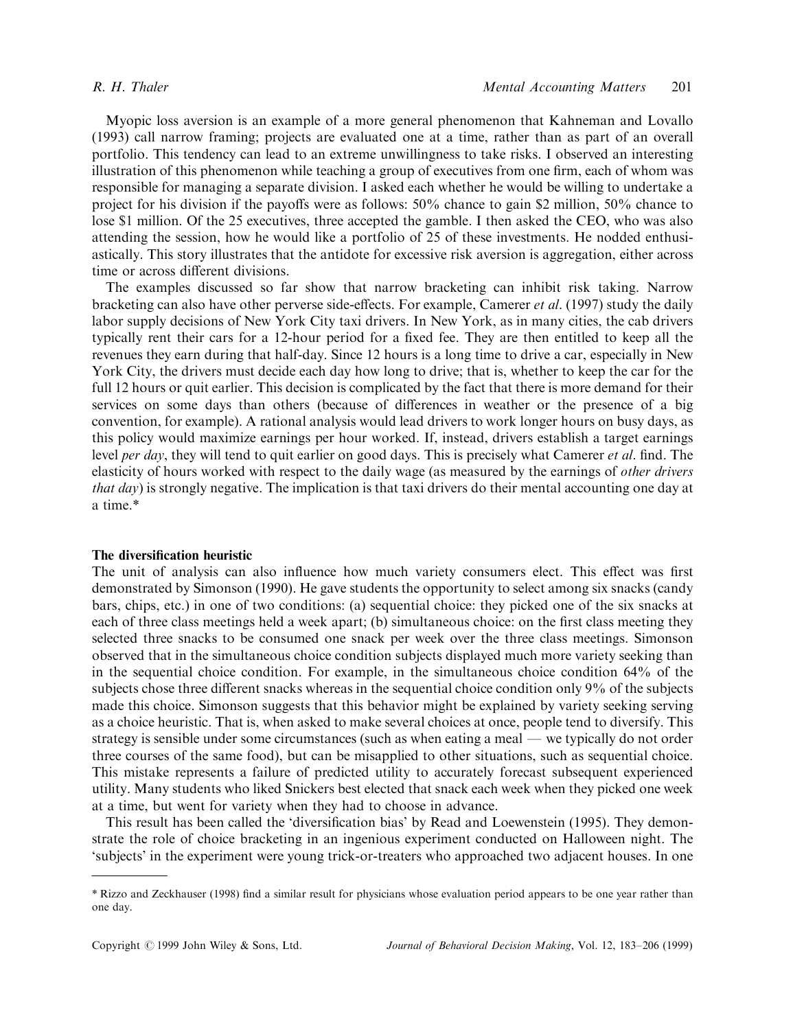Myopic loss aversion is an example of a more general phenomenon that Kahneman and Lovallo (1993) call narrow framing; projects are evaluated one at a time, rather than as part of an overall portfolio. This tendency can lead to an extreme unwillingness to take risks. I observed an interesting illustration of this phenomenon while teaching a group of executives from one firm, each of whom was responsible for managing a separate division. I asked each whether he would be willing to undertake a project for his division if the payoffs were as follows:  $50\%$  chance to gain \$2 million,  $50\%$  chance to lose \$1 million. Of the 25 executives, three accepted the gamble. I then asked the CEO, who was also attending the session, how he would like a portfolio of 25 of these investments. He nodded enthusiastically. This story illustrates that the antidote for excessive risk aversion is aggregation, either across time or across different divisions.

The examples discussed so far show that narrow bracketing can inhibit risk taking. Narrow bracketing can also have other perverse side-effects. For example, Camerer *et al.* (1997) study the daily labor supply decisions of New York City taxi drivers. In New York, as in many cities, the cab drivers typically rent their cars for a 12-hour period for a fixed fee. They are then entitled to keep all the revenues they earn during that half-day. Since 12 hours is a long time to drive a car, especially in New York City, the drivers must decide each day how long to drive; that is, whether to keep the car for the full 12 hours or quit earlier. This decision is complicated by the fact that there is more demand for their services on some days than others (because of differences in weather or the presence of a big convention, for example). A rational analysis would lead drivers to work longer hours on busy days, as this policy would maximize earnings per hour worked. If, instead, drivers establish a target earnings level per day, they will tend to quit earlier on good days. This is precisely what Camerer et al. find. The elasticity of hours worked with respect to the daily wage (as measured by the earnings of *other drivers* that  $day$ ) is strongly negative. The implication is that taxi drivers do their mental accounting one day at a time.\*

# The diversification heuristic

The unit of analysis can also influence how much variety consumers elect. This effect was first demonstrated by Simonson (1990). He gave students the opportunity to select among six snacks (candy bars, chips, etc.) in one of two conditions: (a) sequential choice: they picked one of the six snacks at each of three class meetings held a week apart; (b) simultaneous choice: on the first class meeting they selected three snacks to be consumed one snack per week over the three class meetings. Simonson observed that in the simultaneous choice condition subjects displayed much more variety seeking than in the sequential choice condition. For example, in the simultaneous choice condition 64% of the subjects chose three different snacks whereas in the sequential choice condition only 9% of the subjects made this choice. Simonson suggests that this behavior might be explained by variety seeking serving as a choice heuristic. That is, when asked to make several choices at once, people tend to diversify. This strategy is sensible under some circumstances (such as when eating a meal  $\sim$  we typically do not order three courses of the same food), but can be misapplied to other situations, such as sequential choice. This mistake represents a failure of predicted utility to accurately forecast subsequent experienced utility. Many students who liked Snickers best elected that snack each week when they picked one week at a time, but went for variety when they had to choose in advance.

This result has been called the 'diversification bias' by Read and Loewenstein (1995). They demonstrate the role of choice bracketing in an ingenious experiment conducted on Halloween night. The `subjects' in the experiment were young trick-or-treaters who approached two adjacent houses. In one

<sup>\*</sup> Rizzo and Zeckhauser (1998) ®nd a similar result for physicians whose evaluation period appears to be one year rather than one day.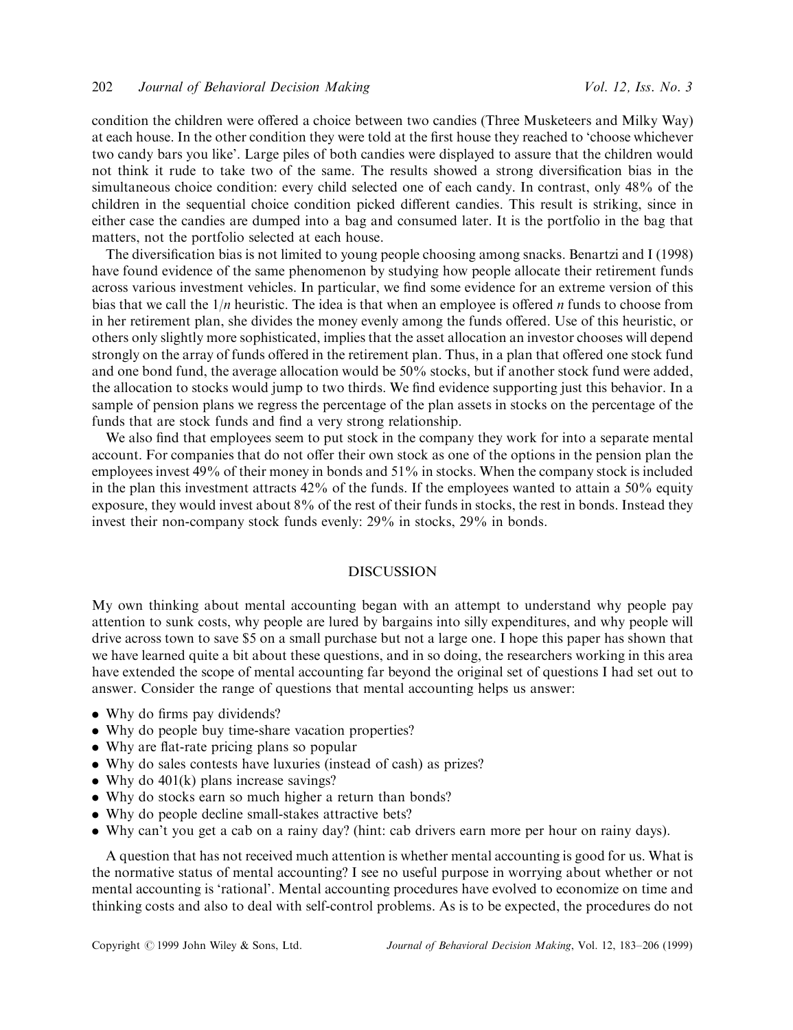# 202 *Journal of Behavioral Decision Making* Vol. 12, Iss. No. 3

condition the children were offered a choice between two candies (Three Musketeers and Milky Way) at each house. In the other condition they were told at the first house they reached to 'choose whichever two candy bars you like'. Large piles of both candies were displayed to assure that the children would not think it rude to take two of the same. The results showed a strong diversification bias in the simultaneous choice condition: every child selected one of each candy. In contrast, only 48% of the children in the sequential choice condition picked different candies. This result is striking, since in either case the candies are dumped into a bag and consumed later. It is the portfolio in the bag that matters, not the portfolio selected at each house.

The diversification bias is not limited to young people choosing among snacks. Benartzi and I (1998) have found evidence of the same phenomenon by studying how people allocate their retirement funds across various investment vehicles. In particular, we find some evidence for an extreme version of this bias that we call the  $1/n$  heuristic. The idea is that when an employee is offered n funds to choose from in her retirement plan, she divides the money evenly among the funds offered. Use of this heuristic, or others only slightly more sophisticated, implies that the asset allocation an investor chooses will depend strongly on the array of funds offered in the retirement plan. Thus, in a plan that offered one stock fund and one bond fund, the average allocation would be 50% stocks, but if another stock fund were added, the allocation to stocks would jump to two thirds. We find evidence supporting just this behavior. In a sample of pension plans we regress the percentage of the plan assets in stocks on the percentage of the funds that are stock funds and find a very strong relationship.

We also find that employees seem to put stock in the company they work for into a separate mental account. For companies that do not offer their own stock as one of the options in the pension plan the employees invest 49% of their money in bonds and 51% in stocks. When the company stock is included in the plan this investment attracts 42% of the funds. If the employees wanted to attain a 50% equity exposure, they would invest about 8% of the rest of their funds in stocks, the rest in bonds. Instead they invest their non-company stock funds evenly: 29% in stocks, 29% in bonds.

# DISCUSSION

My own thinking about mental accounting began with an attempt to understand why people pay attention to sunk costs, why people are lured by bargains into silly expenditures, and why people will drive across town to save \$5 on a small purchase but not a large one. I hope this paper has shown that we have learned quite a bit about these questions, and in so doing, the researchers working in this area have extended the scope of mental accounting far beyond the original set of questions I had set out to answer. Consider the range of questions that mental accounting helps us answer:

- Why do firms pay dividends?
- . Why do people buy time-share vacation properties?
- Why are flat-rate pricing plans so popular
- . Why do sales contests have luxuries (instead of cash) as prizes?
- . Why do 401(k) plans increase savings?
- . Why do stocks earn so much higher a return than bonds?
- . Why do people decline small-stakes attractive bets?
- . Why can't you get a cab on a rainy day? (hint: cab drivers earn more per hour on rainy days).

A question that has not received much attention is whether mental accounting is good for us. What is the normative status of mental accounting? I see no useful purpose in worrying about whether or not mental accounting is 'rational'. Mental accounting procedures have evolved to economize on time and thinking costs and also to deal with self-control problems. As is to be expected, the procedures do not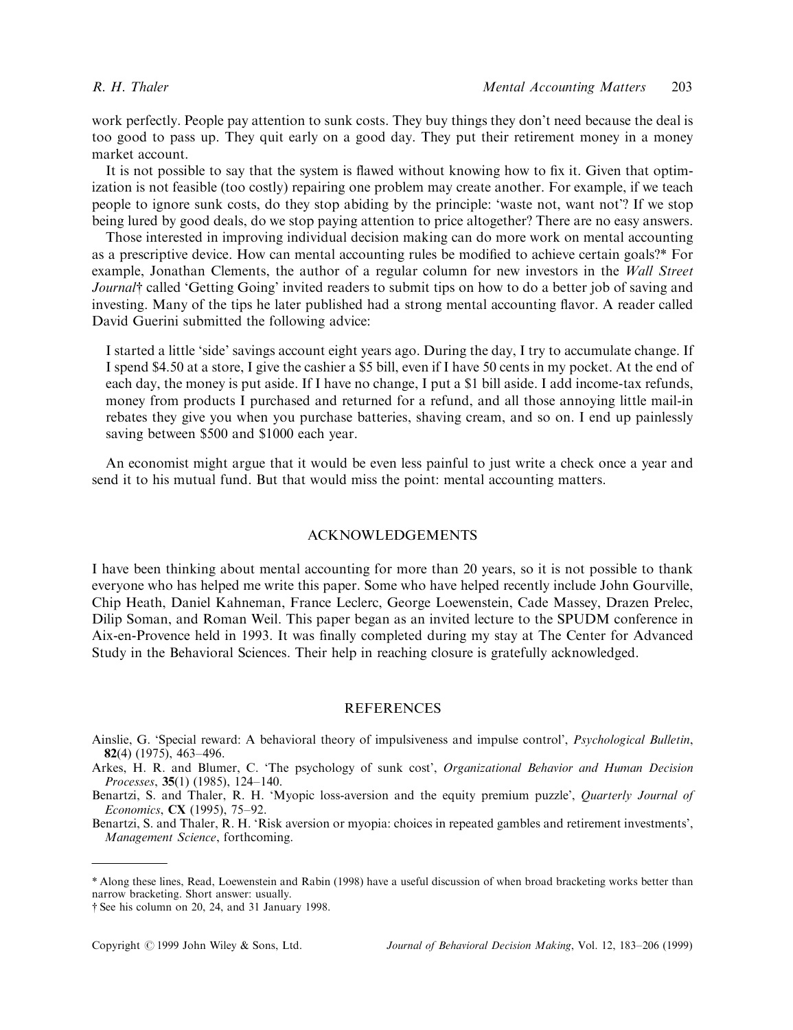work perfectly. People pay attention to sunk costs. They buy things they don't need because the deal is too good to pass up. They quit early on a good day. They put their retirement money in a money market account.

It is not possible to say that the system is flawed without knowing how to fix it. Given that optimization is not feasible (too costly) repairing one problem may create another. For example, if we teach people to ignore sunk costs, do they stop abiding by the principle: `waste not, want not'? If we stop being lured by good deals, do we stop paying attention to price altogether? There are no easy answers.

Those interested in improving individual decision making can do more work on mental accounting as a prescriptive device. How can mental accounting rules be modified to achieve certain goals?\* For example, Jonathan Clements, the author of a regular column for new investors in the Wall Street Journal<sup>†</sup> called 'Getting Going' invited readers to submit tips on how to do a better job of saving and investing. Many of the tips he later published had a strong mental accounting flavor. A reader called David Guerini submitted the following advice:

I started a little `side' savings account eight years ago. During the day, I try to accumulate change. If I spend \$4.50 at a store, I give the cashier a \$5 bill, even if I have 50 cents in my pocket. At the end of each day, the money is put aside. If I have no change, I put a \$1 bill aside. I add income-tax refunds, money from products I purchased and returned for a refund, and all those annoying little mail-in rebates they give you when you purchase batteries, shaving cream, and so on. I end up painlessly saving between \$500 and \$1000 each year.

An economist might argue that it would be even less painful to just write a check once a year and send it to his mutual fund. But that would miss the point: mental accounting matters.

### ACKNOWLEDGEMENTS

I have been thinking about mental accounting for more than 20 years, so it is not possible to thank everyone who has helped me write this paper. Some who have helped recently include John Gourville, Chip Heath, Daniel Kahneman, France Leclerc, George Loewenstein, Cade Massey, Drazen Prelec, Dilip Soman, and Roman Weil. This paper began as an invited lecture to the SPUDM conference in Aix-en-Provence held in 1993. It was finally completed during my stay at The Center for Advanced Study in the Behavioral Sciences. Their help in reaching closure is gratefully acknowledged.

### REFERENCES

Ainslie, G. `Special reward: A behavioral theory of impulsiveness and impulse control', Psychological Bulletin, 82(4) (1975),  $463-496$ .

Arkes, H. R. and Blumer, C. 'The psychology of sunk cost', Organizational Behavior and Human Decision *Processes*,  $35(1)$  (1985), 124-140.

Benartzi, S. and Thaler, R. H. 'Myopic loss-aversion and the equity premium puzzle', Quarterly Journal of Economics, **CX** (1995), 75-92.

Benartzi, S. and Thaler, R. H. 'Risk aversion or myopia: choices in repeated gambles and retirement investments', Management Science, forthcoming.

<sup>\*</sup> Along these lines, Read, Loewenstein and Rabin (1998) have a useful discussion of when broad bracketing works better than narrow bracketing. Short answer: usually. { See his column on 20, 24, and 31 January 1998.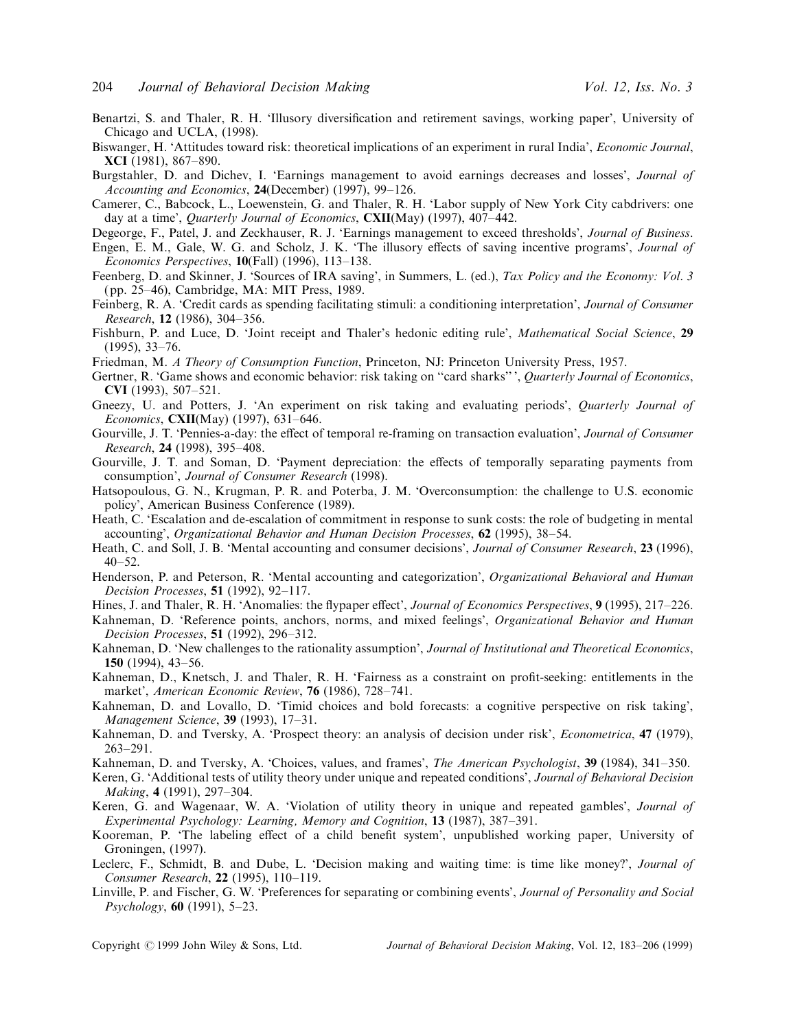- Benartzi, S. and Thaler, R. H. 'Illusory diversification and retirement savings, working paper', University of Chicago and UCLA, (1998).
- Biswanger, H. 'Attitudes toward risk: theoretical implications of an experiment in rural India', *Economic Journal*,  $XCI$  (1981), 867–890.
- Burgstahler, D. and Dichev, I. 'Earnings management to avoid earnings decreases and losses', Journal of Accounting and Economics, 24(December) (1997), 99-126.
- Camerer, C., Babcock, L., Loewenstein, G. and Thaler, R. H. `Labor supply of New York City cabdrivers: one day at a time', *Quarterly Journal of Economics*,  $\text{CXII}(\text{May})$  (1997), 407–442.
- Degeorge, F., Patel, J. and Zeckhauser, R. J. 'Earnings management to exceed thresholds', Journal of Business.
- Engen, E. M., Gale, W. G. and Scholz, J. K. 'The illusory effects of saving incentive programs', *Journal of* Economics Perspectives,  $10$ (Fall) (1996), 113-138.
- Feenberg, D. and Skinner, J. 'Sources of IRA saving', in Summers, L. (ed.), Tax Policy and the Economy: Vol. 3 (pp. 25–46), Cambridge, MA: MIT Press, 1989.
- Feinberg, R. A. 'Credit cards as spending facilitating stimuli: a conditioning interpretation', Journal of Consumer Research, 12 (1986), 304-356.
- Fishburn, P. and Luce, D. 'Joint receipt and Thaler's hedonic editing rule', Mathematical Social Science, 29  $(1995), 33-76.$
- Friedman, M. A Theory of Consumption Function, Princeton, NJ: Princeton University Press, 1957.
- Gertner, R. 'Game shows and economic behavior: risk taking on "card sharks"', Quarterly Journal of Economics, CVI (1993), 507–521.
- Gneezy, U. and Potters, J. 'An experiment on risk taking and evaluating periods', Quarterly Journal of Economics, CXII(May) (1997), 631-646.
- Gourville, J. T. 'Pennies-a-day: the effect of temporal re-framing on transaction evaluation', Journal of Consumer Research, 24 (1998), 395-408.
- Gourville, J. T. and Soman, D. 'Payment depreciation: the effects of temporally separating payments from consumption', Journal of Consumer Research (1998).
- Hatsopoulous, G. N., Krugman, P. R. and Poterba, J. M. `Overconsumption: the challenge to U.S. economic policy', American Business Conference (1989).
- Heath, C. 'Escalation and de-escalation of commitment in response to sunk costs: the role of budgeting in mental accounting', Organizational Behavior and Human Decision Processes, 62 (1995), 38-54.
- Heath, C. and Soll, J. B. 'Mental accounting and consumer decisions', Journal of Consumer Research, 23 (1996),  $40 - 52$ .
- Henderson, P. and Peterson, R. 'Mental accounting and categorization', Organizational Behavioral and Human Decision Processes, 51 (1992), 92-117.
- Hines, J. and Thaler, R. H. 'Anomalies: the flypaper effect', Journal of Economics Perspectives, 9 (1995), 217-226.
- Kahneman, D. 'Reference points, anchors, norms, and mixed feelings', Organizational Behavior and Human Decision Processes, 51 (1992), 296-312.
- Kahneman, D. 'New challenges to the rationality assumption', Journal of Institutional and Theoretical Economics, 150  $(1994)$ , 43-56.
- Kahneman, D., Knetsch, J. and Thaler, R. H. 'Fairness as a constraint on profit-seeking: entitlements in the market', American Economic Review, 76 (1986), 728-741.
- Kahneman, D. and Lovallo, D. `Timid choices and bold forecasts: a cognitive perspective on risk taking', Management Science, 39 (1993), 17-31.
- Kahneman, D. and Tversky, A. 'Prospect theory: an analysis of decision under risk', *Econometrica*, 47 (1979), 263±291.
- Kahneman, D. and Tversky, A. 'Choices, values, and frames', *The American Psychologist*, 39 (1984), 341–350.
- Keren, G. 'Additional tests of utility theory under unique and repeated conditions', Journal of Behavioral Decision Making, 4 (1991), 297-304.
- Keren, G. and Wagenaar, W. A. `Violation of utility theory in unique and repeated gambles', Journal of Experimental Psychology: Learning, Memory and Cognition,  $13$  (1987),  $387-391$ .
- Kooreman, P. 'The labeling effect of a child benefit system', unpublished working paper, University of Groningen, (1997).
- Leclerc, F., Schmidt, B. and Dube, L. 'Decision making and waiting time: is time like money?', Journal of Consumer Research, 22 (1995), 110-119.
- Linville, P. and Fischer, G. W. 'Preferences for separating or combining events', Journal of Personality and Social Psychology,  $60$  (1991), 5–23.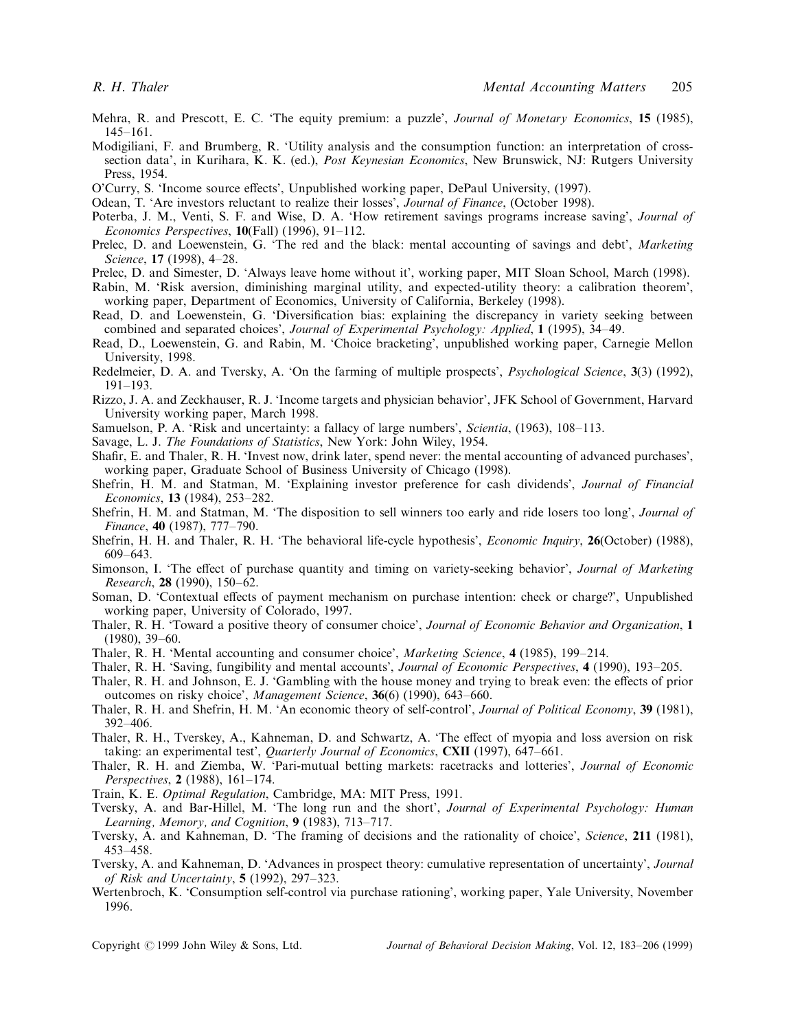- Mehra, R. and Prescott, E. C. `The equity premium: a puzzle', Journal of Monetary Economics, 15 (1985),  $145 - 161$ .
- Modigiliani, F. and Brumberg, R. `Utility analysis and the consumption function: an interpretation of crosssection data', in Kurihara, K. K. (ed.), Post Keynesian Economics, New Brunswick, NJ: Rutgers University Press, 1954.
- O'Curry, S. 'Income source effects', Unpublished working paper, DePaul University, (1997).
- Odean, T. 'Are investors reluctant to realize their losses', *Journal of Finance*, (October 1998).
- Poterba, J. M., Venti, S. F. and Wise, D. A. 'How retirement savings programs increase saving', Journal of Economics Perspectives,  $10$ (Fall) (1996), 91-112.
- Prelec, D. and Loewenstein, G. 'The red and the black: mental accounting of savings and debt', Marketing Science, 17 (1998), 4-28.
- Prelec, D. and Simester, D. 'Always leave home without it', working paper, MIT Sloan School, March (1998).
- Rabin, M. `Risk aversion, diminishing marginal utility, and expected-utility theory: a calibration theorem', working paper, Department of Economics, University of California, Berkeley (1998).
- Read, D. and Loewenstein, G. 'Diversification bias: explaining the discrepancy in variety seeking between combined and separated choices', Journal of Experimental Psychology: Applied, 1 (1995), 34–49.
- Read, D., Loewenstein, G. and Rabin, M. `Choice bracketing', unpublished working paper, Carnegie Mellon University, 1998.
- Redelmeier, D. A. and Tversky, A. 'On the farming of multiple prospects', *Psychological Science*, 3(3) (1992), 191±193.
- Rizzo, J. A. and Zeckhauser, R. J. `Income targets and physician behavior', JFK School of Government, Harvard University working paper, March 1998.
- Samuelson, P. A. 'Risk and uncertainty: a fallacy of large numbers', Scientia, (1963), 108–113.
- Savage, L. J. The Foundations of Statistics, New York: John Wiley, 1954.
- Shafir, E. and Thaler, R. H. 'Invest now, drink later, spend never: the mental accounting of advanced purchases', working paper, Graduate School of Business University of Chicago (1998).
- Shefrin, H. M. and Statman, M. `Explaining investor preference for cash dividends', Journal of Financial Economics, 13 (1984), 253-282.
- Shefrin, H. M. and Statman, M. 'The disposition to sell winners too early and ride losers too long', *Journal of* Finance, 40 (1987), 777-790.
- Shefrin, H. H. and Thaler, R. H. `The behavioral life-cycle hypothesis', Economic Inquiry, 26(October) (1988),  $609-643.$
- Simonson, I. 'The effect of purchase quantity and timing on variety-seeking behavior', Journal of Marketing Research,  $28$  (1990), 150–62.
- Soman, D. 'Contextual effects of payment mechanism on purchase intention: check or charge?', Unpublished working paper, University of Colorado, 1997.
- Thaler, R. H. 'Toward a positive theory of consumer choice', Journal of Economic Behavior and Organization, 1  $(1980), 39-60.$
- Thaler, R. H. 'Mental accounting and consumer choice', *Marketing Science*, 4 (1985), 199-214.
- Thaler, R. H. 'Saving, fungibility and mental accounts', Journal of Economic Perspectives, 4 (1990), 193-205.
- Thaler, R. H. and Johnson, E. J. 'Gambling with the house money and trying to break even: the effects of prior outcomes on risky choice', Management Science, 36(6) (1990), 643-660.
- Thaler, R. H. and Shefrin, H. M. `An economic theory of self-control', Journal of Political Economy, 39 (1981), 392-406.
- Thaler, R. H., Tverskey, A., Kahneman, D. and Schwartz, A. 'The effect of myopia and loss aversion on risk taking: an experimental test', Quarterly Journal of Economics, CXII (1997), 647-661.
- Thaler, R. H. and Ziemba, W. 'Pari-mutual betting markets: racetracks and lotteries', Journal of Economic Perspectives,  $2(1988)$ ,  $161-174$ .
- Train, K. E. Optimal Regulation, Cambridge, MA: MIT Press, 1991.
- Tversky, A. and Bar-Hillel, M. 'The long run and the short', Journal of Experimental Psychology: Human Learning, Memory, and Cognition,  $9$  (1983), 713-717.
- Tversky, A. and Kahneman, D. 'The framing of decisions and the rationality of choice', Science, 211 (1981), 453±458.
- Tversky, A. and Kahneman, D. 'Advances in prospect theory: cumulative representation of uncertainty', Journal of Risk and Uncertainty,  $5(1992)$ ,  $297-323$ .
- Wertenbroch, K. `Consumption self-control via purchase rationing', working paper, Yale University, November 1996.